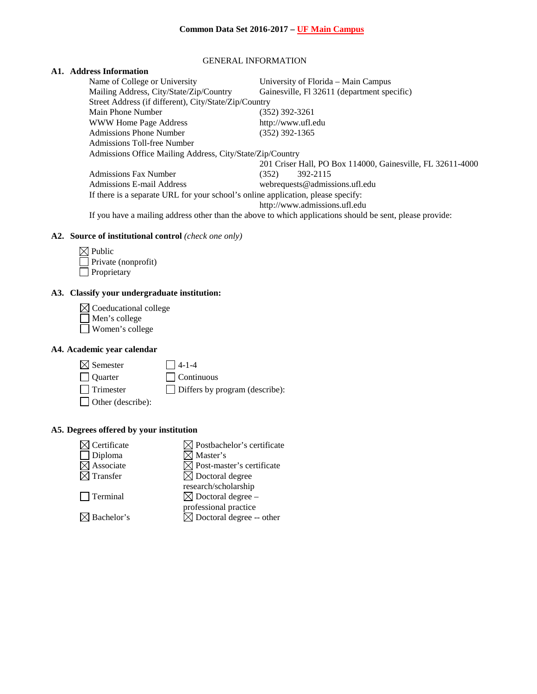#### GENERAL INFORMATION

## **A1. Address Information**

| Name of College or University                                                                            | University of Florida – Main Campus                        |  |  |  |
|----------------------------------------------------------------------------------------------------------|------------------------------------------------------------|--|--|--|
| Mailing Address, City/State/Zip/Country                                                                  | Gainesville, Fl 32611 (department specific)                |  |  |  |
| Street Address (if different), City/State/Zip/Country                                                    |                                                            |  |  |  |
| Main Phone Number                                                                                        | (352) 392-3261                                             |  |  |  |
| WWW Home Page Address                                                                                    | http://www.ufl.edu                                         |  |  |  |
| <b>Admissions Phone Number</b>                                                                           | $(352)$ 392-1365                                           |  |  |  |
| Admissions Toll-free Number                                                                              |                                                            |  |  |  |
| Admissions Office Mailing Address, City/State/Zip/Country                                                |                                                            |  |  |  |
|                                                                                                          | 201 Criser Hall, PO Box 114000, Gainesville, FL 32611-4000 |  |  |  |
| <b>Admissions Fax Number</b>                                                                             | 392-2115<br>(352)                                          |  |  |  |
| Admissions E-mail Address                                                                                | webrequests@admissions.ufl.edu                             |  |  |  |
| If there is a separate URL for your school's online application, please specify:                         |                                                            |  |  |  |
|                                                                                                          | http://www.admissions.ufl.edu                              |  |  |  |
| If you have a mailing address other than the above to which applications should be sent, please provide: |                                                            |  |  |  |

# **A2. Source of institutional control** *(check one only)*

| $\boxtimes$ Public  |
|---------------------|
| Private (nonprofit) |
| Proprietary         |

# **A3. Classify your undergraduate institution:**

| $\boxtimes$ Coeducational college |
|-----------------------------------|
| Men's college                     |
| $\Box$ Women's college            |

## **A4. Academic year calendar**

| $\boxtimes$ Semester | $\Box$ 4-1-4                          |
|----------------------|---------------------------------------|
| Quarter              | $\Box$ Continuous                     |
| $\Box$ Trimester     | $\Box$ Differs by program (describe): |
| Other (describe):    |                                       |

# **A5. Degrees offered by your institution**

| Certificate            | $\boxtimes$ Postbachelor's certificate |
|------------------------|----------------------------------------|
| Diploma                | $\boxtimes$ Master's                   |
| $\boxtimes$ Associate  | $\boxtimes$ Post-master's certificate  |
| $\boxtimes$ Transfer   | $\boxtimes$ Doctoral degree            |
|                        | research/scholarship                   |
| $\Box$ Terminal        | $\boxtimes$ Doctoral degree –          |
|                        | professional practice                  |
| $\boxtimes$ Bachelor's | $\boxtimes$ Doctoral degree -- other   |
|                        |                                        |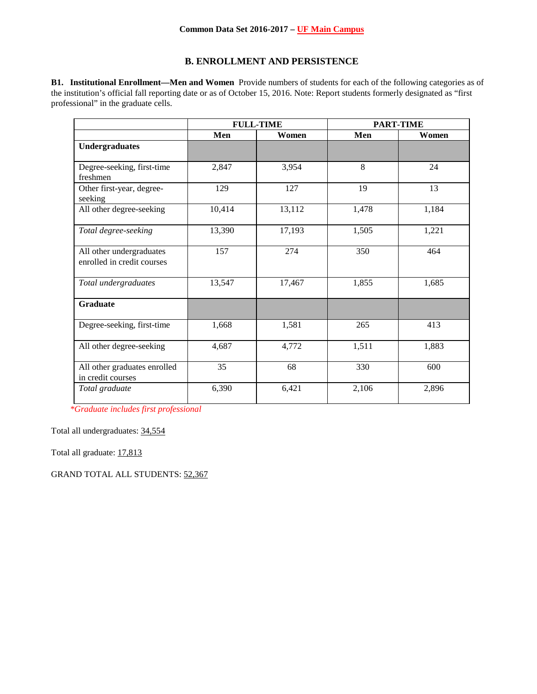## **B. ENROLLMENT AND PERSISTENCE**

**B1. Institutional Enrollment—Men and Women** Provide numbers of students for each of the following categories as of the institution's official fall reporting date or as of October 15, 2016. Note: Report students formerly designated as "first professional" in the graduate cells.

|                                                        | <b>FULL-TIME</b> |        | <b>PART-TIME</b> |       |
|--------------------------------------------------------|------------------|--------|------------------|-------|
|                                                        | Men              | Women  | Men              | Women |
| <b>Undergraduates</b>                                  |                  |        |                  |       |
| Degree-seeking, first-time<br>freshmen                 | 2,847            | 3,954  | 8                | 24    |
| Other first-year, degree-<br>seeking                   | 129              | 127    | 19               | 13    |
| All other degree-seeking                               | 10,414           | 13,112 | 1,478            | 1,184 |
| Total degree-seeking                                   | 13,390           | 17,193 | 1,505            | 1,221 |
| All other undergraduates<br>enrolled in credit courses | 157              | 274    | 350              | 464   |
| Total undergraduates                                   | 13,547           | 17,467 | 1,855            | 1,685 |
| <b>Graduate</b>                                        |                  |        |                  |       |
| Degree-seeking, first-time                             | 1,668            | 1,581  | 265              | 413   |
| All other degree-seeking                               | 4,687            | 4,772  | 1,511            | 1,883 |
| All other graduates enrolled<br>in credit courses      | 35               | 68     | 330              | 600   |
| Total graduate                                         | 6,390            | 6,421  | 2,106            | 2,896 |

*\*Graduate includes first professional*

Total all undergraduates: 34,554

Total all graduate: 17,813

GRAND TOTAL ALL STUDENTS: 52,367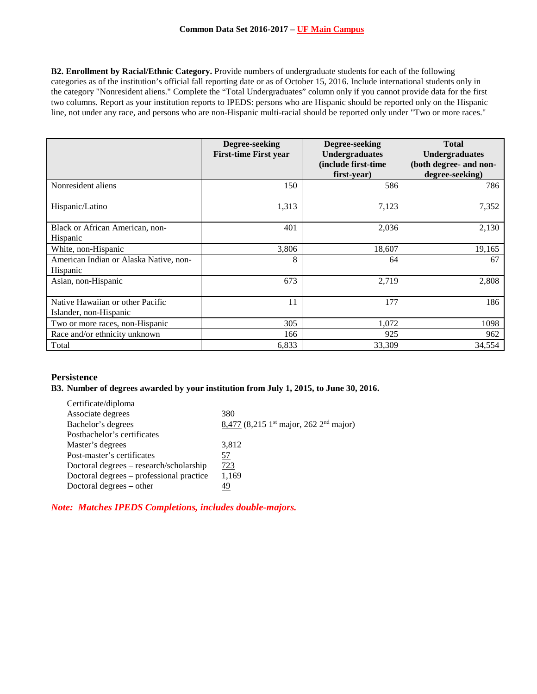**B2. Enrollment by Racial/Ethnic Category.** Provide numbers of undergraduate students for each of the following categories as of the institution's official fall reporting date or as of October 15, 2016. Include international students only in the category "Nonresident aliens." Complete the "Total Undergraduates" column only if you cannot provide data for the first two columns. Report as your institution reports to IPEDS: persons who are Hispanic should be reported only on the Hispanic line, not under any race, and persons who are non-Hispanic multi-racial should be reported only under "Two or more races."

|                                                            | Degree-seeking<br><b>First-time First year</b> | Degree-seeking<br><b>Undergraduates</b><br>(include first-time)<br>first-year) | <b>Total</b><br><b>Undergraduates</b><br>(both degree- and non-<br>degree-seeking) |
|------------------------------------------------------------|------------------------------------------------|--------------------------------------------------------------------------------|------------------------------------------------------------------------------------|
| Nonresident aliens                                         | 150                                            | 586                                                                            | 786                                                                                |
| Hispanic/Latino                                            | 1,313                                          | 7,123                                                                          | 7,352                                                                              |
| Black or African American, non-<br>Hispanic                | 401                                            | 2,036                                                                          | 2,130                                                                              |
| White, non-Hispanic                                        | 3,806                                          | 18,607                                                                         | 19,165                                                                             |
| American Indian or Alaska Native, non-<br>Hispanic         | 8                                              | 64                                                                             | 67                                                                                 |
| Asian, non-Hispanic                                        | 673                                            | 2,719                                                                          | 2,808                                                                              |
| Native Hawaiian or other Pacific<br>Islander, non-Hispanic | 11                                             | 177                                                                            | 186                                                                                |
| Two or more races, non-Hispanic                            | 305                                            | 1,072                                                                          | 1098                                                                               |
| Race and/or ethnicity unknown                              | 166                                            | 925                                                                            | 962                                                                                |
| Total                                                      | 6,833                                          | 33,309                                                                         | 34,554                                                                             |

### **Persistence**

## **B3. Number of degrees awarded by your institution from July 1, 2015, to June 30, 2016.**

| Certificate/diploma                      |                                                                  |
|------------------------------------------|------------------------------------------------------------------|
| Associate degrees                        | 380                                                              |
| Bachelor's degrees                       | $8,477$ (8,215 1 <sup>st</sup> major, 262 2 <sup>nd</sup> major) |
| Postbachelor's certificates              |                                                                  |
| Master's degrees                         | 3,812                                                            |
| Post-master's certificates               | 57                                                               |
| Doctoral degrees – research/scholarship  | 723                                                              |
| Doctoral degrees – professional practice | 1,169                                                            |
| Doctoral degrees – other                 |                                                                  |
|                                          |                                                                  |

*Note: Matches IPEDS Completions, includes double-majors.*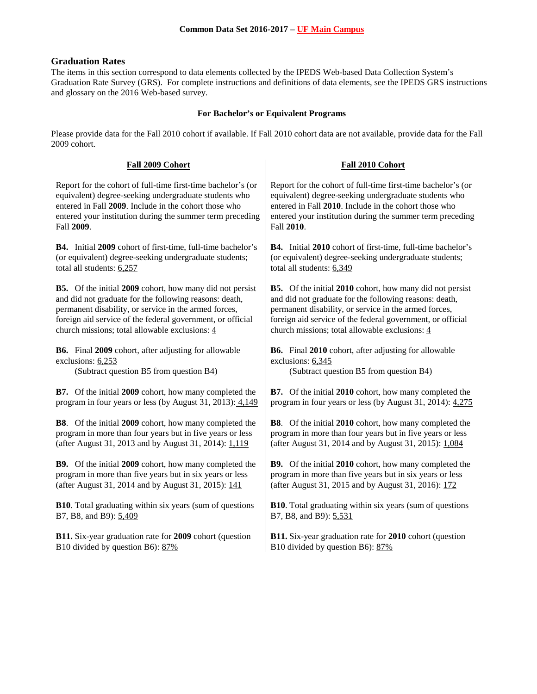## **Graduation Rates**

The items in this section correspond to data elements collected by the IPEDS Web-based Data Collection System's Graduation Rate Survey (GRS). For complete instructions and definitions of data elements, see the IPEDS GRS instructions and glossary on the 2016 Web-based survey.

# **For Bachelor's or Equivalent Programs**

Please provide data for the Fall 2010 cohort if available. If Fall 2010 cohort data are not available, provide data for the Fall 2009 cohort.

| Fall 2009 Cohort                                                 | Fall 2010 Cohort                                                 |
|------------------------------------------------------------------|------------------------------------------------------------------|
| Report for the cohort of full-time first-time bachelor's (or     | Report for the cohort of full-time first-time bachelor's (or     |
| equivalent) degree-seeking undergraduate students who            | equivalent) degree-seeking undergraduate students who            |
| entered in Fall 2009. Include in the cohort those who            | entered in Fall 2010. Include in the cohort those who            |
| entered your institution during the summer term preceding        | entered your institution during the summer term preceding        |
| Fall 2009.                                                       | Fall 2010.                                                       |
| B4. Initial 2009 cohort of first-time, full-time bachelor's      | B4. Initial 2010 cohort of first-time, full-time bachelor's      |
| (or equivalent) degree-seeking undergraduate students;           | (or equivalent) degree-seeking undergraduate students;           |
| total all students: 6,257                                        | total all students: 6,349                                        |
| B5. Of the initial 2009 cohort, how many did not persist         | <b>B5.</b> Of the initial 2010 cohort, how many did not persist  |
| and did not graduate for the following reasons: death,           | and did not graduate for the following reasons: death,           |
| permanent disability, or service in the armed forces,            | permanent disability, or service in the armed forces,            |
| foreign aid service of the federal government, or official       | foreign aid service of the federal government, or official       |
| church missions; total allowable exclusions: 4                   | church missions; total allowable exclusions: 4                   |
| B6. Final 2009 cohort, after adjusting for allowable             | B6. Final 2010 cohort, after adjusting for allowable             |
| exclusions: 6,253                                                | exclusions: 6,345                                                |
| (Subtract question B5 from question B4)                          | (Subtract question B5 from question B4)                          |
| B7. Of the initial 2009 cohort, how many completed the           | <b>B7.</b> Of the initial 2010 cohort, how many completed the    |
| program in four years or less (by August 31, 2013): 4,149        | program in four years or less (by August 31, 2014): 4,275        |
| <b>B8</b> . Of the initial 2009 cohort, how many completed the   | <b>B8</b> . Of the initial 2010 cohort, how many completed the   |
| program in more than four years but in five years or less        | program in more than four years but in five years or less        |
| (after August 31, 2013 and by August 31, 2014): 1,119            | (after August 31, 2014 and by August 31, 2015): 1,084            |
| B9. Of the initial 2009 cohort, how many completed the           | <b>B9.</b> Of the initial 2010 cohort, how many completed the    |
| program in more than five years but in six years or less         | program in more than five years but in six years or less         |
| (after August 31, 2014 and by August 31, 2015): 141              | (after August 31, 2015 and by August 31, 2016): 172              |
| <b>B10</b> . Total graduating within six years (sum of questions | <b>B10</b> . Total graduating within six years (sum of questions |
| B7, B8, and B9): 5,409                                           | B7, B8, and B9): 5,531                                           |
| B11. Six-year graduation rate for 2009 cohort (question          | <b>B11.</b> Six-year graduation rate for 2010 cohort (question   |
| B10 divided by question B6): 87%                                 | B10 divided by question B6): 87%                                 |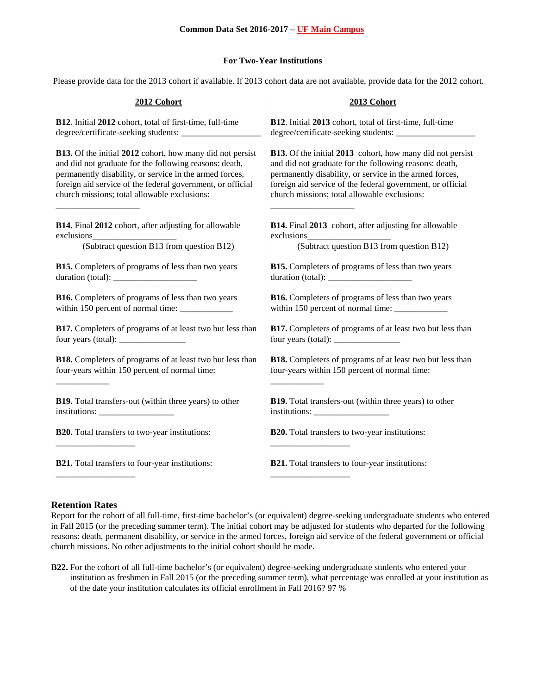## **For Two-Year Institutions**

Please provide data for the 2013 cohort if available. If 2013 cohort data are not available, provide data for the 2012 cohort.

| 2012 Cohort                                                          | 2013 Cohort                                                          |
|----------------------------------------------------------------------|----------------------------------------------------------------------|
| B12. Initial 2012 cohort, total of first-time, full-time             | B12. Initial 2013 cohort, total of first-time, full-time             |
|                                                                      |                                                                      |
| B13. Of the initial 2012 cohort, how many did not persist            | <b>B13.</b> Of the initial 2013 cohort, how many did not persist     |
| and did not graduate for the following reasons: death,               | and did not graduate for the following reasons: death,               |
| permanently disability, or service in the armed forces,              | permanently disability, or service in the armed forces,              |
| foreign aid service of the federal government, or official           | foreign aid service of the federal government, or official           |
| church missions; total allowable exclusions:                         | church missions; total allowable exclusions:                         |
| B14. Final 2012 cohort, after adjusting for allowable                | B14. Final 2013 cohort, after adjusting for allowable                |
|                                                                      |                                                                      |
| (Subtract question B13 from question B12)                            | (Subtract question B13 from question B12)                            |
| <b>B15.</b> Completers of programs of less than two years            | <b>B15.</b> Completers of programs of less than two years            |
| duration (total): $\frac{1}{\sqrt{1-\frac{1}{2}} \cdot \frac{1}{2}}$ | duration (total): $\frac{1}{\sqrt{1-\frac{1}{2}} \cdot \frac{1}{2}}$ |
| <b>B16.</b> Completers of programs of less than two years            | <b>B16.</b> Completers of programs of less than two years            |
| within 150 percent of normal time: ____________                      | within 150 percent of normal time: ___________                       |
| B17. Completers of programs of at least two but less than            | B17. Completers of programs of at least two but less than            |
|                                                                      |                                                                      |
| <b>B18.</b> Completers of programs of at least two but less than     | <b>B18.</b> Completers of programs of at least two but less than     |
| four-years within 150 percent of normal time:                        | four-years within 150 percent of normal time:                        |
| <b>B19.</b> Total transfers-out (within three years) to other        | <b>B19.</b> Total transfers-out (within three years) to other        |
|                                                                      |                                                                      |
| <b>B20.</b> Total transfers to two-year institutions:                | B20. Total transfers to two-year institutions:                       |
| <b>B21.</b> Total transfers to four-year institutions:               | <b>B21.</b> Total transfers to four-year institutions:               |

## **Retention Rates**

Report for the cohort of all full-time, first-time bachelor's (or equivalent) degree-seeking undergraduate students who entered in Fall 2015 (or the preceding summer term). The initial cohort may be adjusted for students who departed for the following reasons: death, permanent disability, or service in the armed forces, foreign aid service of the federal government or official church missions. No other adjustments to the initial cohort should be made.

**B22.** For the cohort of all full-time bachelor's (or equivalent) degree-seeking undergraduate students who entered your institution as freshmen in Fall 2015 (or the preceding summer term), what percentage was enrolled at your institution as of the date your institution calculates its official enrollment in Fall 2016? 97 %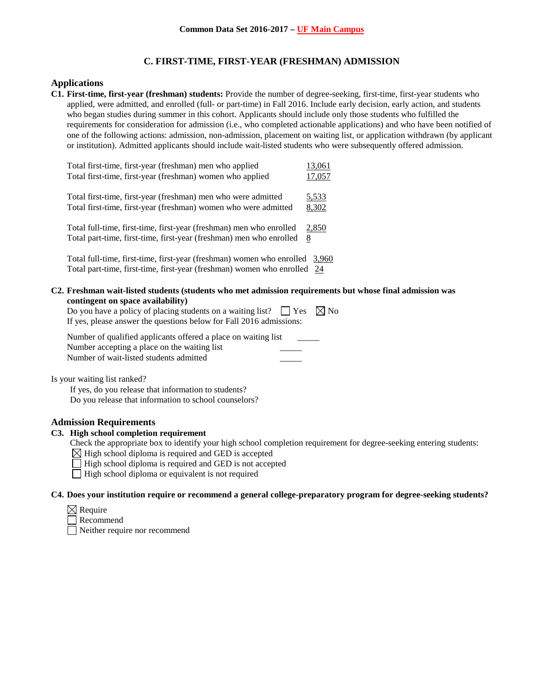## **C. FIRST-TIME, FIRST-YEAR (FRESHMAN) ADMISSION**

#### **Applications**

**C1. First-time, first-year (freshman) students:** Provide the number of degree-seeking, first-time, first-year students who applied, were admitted, and enrolled (full- or part-time) in Fall 2016. Include early decision, early action, and students who began studies during summer in this cohort. Applicants should include only those students who fulfilled the requirements for consideration for admission (i.e., who completed actionable applications) and who have been notified of one of the following actions: admission, non-admission, placement on waiting list, or application withdrawn (by applicant or institution). Admitted applicants should include wait-listed students who were subsequently offered admission.

| Total first-time, first-year (freshman) men who applied<br>Total first-time, first-year (freshman) women who applied                               | 13,061<br>17,057 |
|----------------------------------------------------------------------------------------------------------------------------------------------------|------------------|
| Total first-time, first-year (freshman) men who were admitted                                                                                      | 5,533            |
| Total first-time, first-year (freshman) women who were admitted<br>Total full-time, first-time, first-year (freshman) men who enrolled             | 8,302<br>2,850   |
| Total part-time, first-time, first-year (freshman) men who enrolled<br>Total full-time, first-time, first-year (freshman) women who enrolled 3,960 | 8                |
| Total part-time, first-time, first-year (freshman) women who enrolled 24                                                                           |                  |

**C2. Freshman wait-listed students (students who met admission requirements but whose final admission was contingent on space availability)**

| Do you have a policy of placing students on a waiting list? $\Box$ Yes $\Box$ No |  |
|----------------------------------------------------------------------------------|--|
| If yes, please answer the questions below for Fall 2016 admissions:              |  |

| Number of qualified applicants offered a place on waiting list |  |
|----------------------------------------------------------------|--|
| Number accepting a place on the waiting list                   |  |
| Number of wait-listed students admitted                        |  |

Is your waiting list ranked?

If yes, do you release that information to students? Do you release that information to school counselors?

## **Admission Requirements**

## **C3. High school completion requirement**

Check the appropriate box to identify your high school completion requirement for degree-seeking entering students:

 $\boxtimes$  High school diploma is required and GED is accepted

 $\Box$  High school diploma is required and GED is not accepted

 $\Box$  High school diploma or equivalent is not required

## **C4. Does your institution require or recommend a general college-preparatory program for degree-seeking students?**

- $\boxtimes$  Require
- Recommend

Neither require nor recommend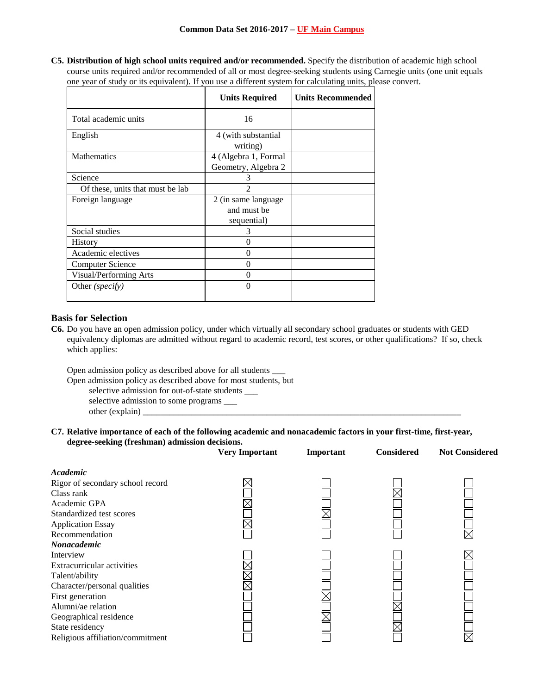**C5. Distribution of high school units required and/or recommended.** Specify the distribution of academic high school course units required and/or recommended of all or most degree-seeking students using Carnegie units (one unit equals one year of study or its equivalent). If you use a different system for calculating units, please convert.

|                                  | <b>Units Required</b>                              | <b>Units Recommended</b> |
|----------------------------------|----------------------------------------------------|--------------------------|
| Total academic units             | 16                                                 |                          |
| English                          | 4 (with substantial<br>writing)                    |                          |
| <b>Mathematics</b>               | 4 (Algebra 1, Formal<br>Geometry, Algebra 2        |                          |
| Science                          | 3                                                  |                          |
| Of these, units that must be lab | 2                                                  |                          |
| Foreign language                 | 2 (in same language)<br>and must be<br>sequential) |                          |
| Social studies                   | 3                                                  |                          |
| <b>History</b>                   | $\theta$                                           |                          |
| Academic electives               | 0                                                  |                          |
| <b>Computer Science</b>          | $\theta$                                           |                          |
| Visual/Performing Arts           | 0                                                  |                          |
| Other (specify)                  | 0                                                  |                          |

# **Basis for Selection**

**C6.** Do you have an open admission policy, under which virtually all secondary school graduates or students with GED equivalency diplomas are admitted without regard to academic record, test scores, or other qualifications? If so, check which applies:

Open admission policy as described above for all students \_\_\_

Open admission policy as described above for most students, but

selective admission for out-of-state students \_\_\_

selective admission to some programs \_\_\_ other (explain) \_\_\_\_\_\_\_\_\_\_\_\_\_\_\_\_\_\_\_\_\_\_\_\_\_\_\_\_\_\_\_\_\_\_\_\_\_\_\_\_\_\_\_\_\_\_\_\_\_\_\_\_\_\_\_\_\_\_\_\_\_\_\_\_\_\_\_\_\_\_\_\_

**C7. Relative importance of each of the following academic and nonacademic factors in your first-time, first-year, degree-seeking (freshman) admission decisions.**

|                                  | <b>Very Important</b> | Important | <b>Considered</b> | <b>Not Considered</b> |
|----------------------------------|-----------------------|-----------|-------------------|-----------------------|
| Academic                         |                       |           |                   |                       |
| Rigor of secondary school record |                       |           |                   |                       |
| Class rank                       |                       |           |                   |                       |
| Academic GPA                     |                       |           |                   |                       |
| Standardized test scores         |                       |           |                   |                       |
| <b>Application Essay</b>         |                       |           |                   |                       |
| Recommendation                   |                       |           |                   | $\boxtimes$           |
| Nonacademic                      |                       |           |                   |                       |
| Interview                        |                       |           |                   |                       |
| Extracurricular activities       |                       |           |                   |                       |
| Talent/ability                   |                       |           |                   |                       |
| Character/personal qualities     |                       |           |                   |                       |
| First generation                 |                       |           |                   |                       |
| Alumni/ae relation               |                       |           |                   |                       |
| Geographical residence           |                       |           |                   |                       |
| State residency                  |                       |           |                   |                       |
| Religious affiliation/commitment |                       |           |                   |                       |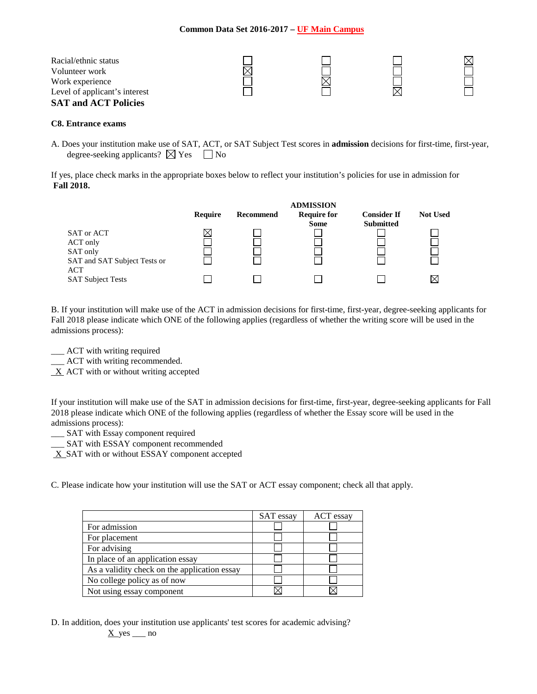| Racial/ethnic status<br>Volunteer work           |  |  |
|--------------------------------------------------|--|--|
| Work experience<br>Level of applicant's interest |  |  |
| <b>SAT and ACT Policies</b>                      |  |  |

#### **C8. Entrance exams**

A. Does your institution make use of SAT, ACT, or SAT Subject Test scores in **admission** decisions for first-time, first-year, degree-seeking applicants?  $\boxtimes$  Yes  $\Box$  No

If yes, place check marks in the appropriate boxes below to reflect your institution's policies for use in admission for **Fall 2018.**

|         |           | <b>ADMISSION</b>   |                    |                 |
|---------|-----------|--------------------|--------------------|-----------------|
| Require | Recommend | <b>Require for</b> | <b>Consider If</b> | <b>Not Used</b> |
|         |           | <b>Some</b>        | <b>Submitted</b>   |                 |
|         |           |                    |                    |                 |
|         |           |                    |                    |                 |
|         |           |                    |                    |                 |
|         |           |                    |                    |                 |
|         |           |                    |                    |                 |
|         |           |                    |                    |                 |
|         |           |                    |                    |                 |

B. If your institution will make use of the ACT in admission decisions for first-time, first-year, degree-seeking applicants for Fall 2018 please indicate which ONE of the following applies (regardless of whether the writing score will be used in the admissions process):

- \_\_\_ ACT with writing required
- \_\_\_ ACT with writing recommended.
- $X$  ACT with or without writing accepted

If your institution will make use of the SAT in admission decisions for first-time, first-year, degree-seeking applicants for Fall 2018 please indicate which ONE of the following applies (regardless of whether the Essay score will be used in the admissions process):

- \_\_\_ SAT with Essay component required
- \_\_\_ SAT with ESSAY component recommended
- X SAT with or without ESSAY component accepted

C. Please indicate how your institution will use the SAT or ACT essay component; check all that apply.

|                                              | <b>SAT</b> essay | ACT essay |
|----------------------------------------------|------------------|-----------|
| For admission                                |                  |           |
| For placement                                |                  |           |
| For advising                                 |                  |           |
| In place of an application essay             |                  |           |
| As a validity check on the application essay |                  |           |
| No college policy as of now                  |                  |           |
| Not using essay component                    |                  |           |

D. In addition, does your institution use applicants' test scores for academic advising?  $X$  yes  $\_\_$ no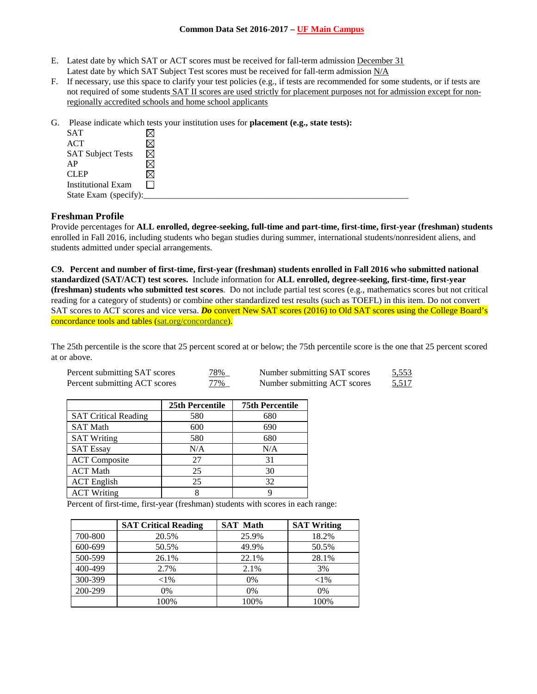- E. Latest date by which SAT or ACT scores must be received for fall-term admission December 31 Latest date by which SAT Subject Test scores must be received for fall-term admission N/A
- F. If necessary, use this space to clarify your test policies (e.g., if tests are recommended for some students, or if tests are not required of some students SAT II scores are used strictly for placement purposes not for admission except for nonregionally accredited schools and home school applicants
- G. Please indicate which tests your institution uses for **placement (e.g., state tests):**

| <b>SAT</b>                |   |
|---------------------------|---|
| <b>ACT</b>                |   |
| <b>SAT Subject Tests</b>  | ⊠ |
| AP                        |   |
| <b>CLEP</b>               |   |
| <b>Institutional Exam</b> |   |
| State Exam (specify):     |   |

## **Freshman Profile**

Provide percentages for **ALL enrolled, degree-seeking, full-time and part-time, first-time, first-year (freshman) students**  enrolled in Fall 2016, including students who began studies during summer, international students/nonresident aliens, and students admitted under special arrangements.

**C9. Percent and number of first-time, first-year (freshman) students enrolled in Fall 2016 who submitted national standardized (SAT/ACT) test scores.** Include information for **ALL enrolled, degree-seeking, first-time, first-year (freshman) students who submitted test scores**. Do not include partial test scores (e.g., mathematics scores but not critical reading for a category of students) or combine other standardized test results (such as TOEFL) in this item. Do not convert SAT scores to ACT scores and vice versa. *Do* convert New SAT scores (2016) to Old SAT scores using the College Board's concordance tools and tables (sat.org/concordance).

The 25th percentile is the score that 25 percent scored at or below; the 75th percentile score is the one that 25 percent scored at or above.

| Percent submitting SAT scores | 78%    | Number submitting SAT scores | <u>5,553</u> |
|-------------------------------|--------|------------------------------|--------------|
| Percent submitting ACT scores | $77\%$ | Number submitting ACT scores | 5,517        |

|                             | 25th Percentile | <b>75th Percentile</b> |
|-----------------------------|-----------------|------------------------|
| <b>SAT Critical Reading</b> | 580             | 680                    |
| <b>SAT Math</b>             | 600             | 690                    |
| <b>SAT Writing</b>          | 580             | 680                    |
| <b>SAT Essay</b>            | N/A             | N/A                    |
| <b>ACT</b> Composite        | 27              | 31                     |
| <b>ACT Math</b>             | 25              | 30                     |
| <b>ACT</b> English          | 25              | 32                     |
| <b>ACT Writing</b>          | 8               |                        |

Percent of first-time, first-year (freshman) students with scores in each range:

|         | <b>SAT Critical Reading</b> | <b>SAT Math</b> | <b>SAT Writing</b> |
|---------|-----------------------------|-----------------|--------------------|
| 700-800 | 20.5%                       | 25.9%           | 18.2%              |
| 600-699 | 50.5%                       | 49.9%           | 50.5%              |
| 500-599 | 26.1%                       | 22.1%           | 28.1%              |
| 400-499 | 2.7%                        | 2.1%            | 3%                 |
| 300-399 | ${<}1\%$                    | 0%              | ${<}1\%$           |
| 200-299 | $0\%$                       | 0%              | 0%                 |
|         | 100%                        | 100%            | 100%               |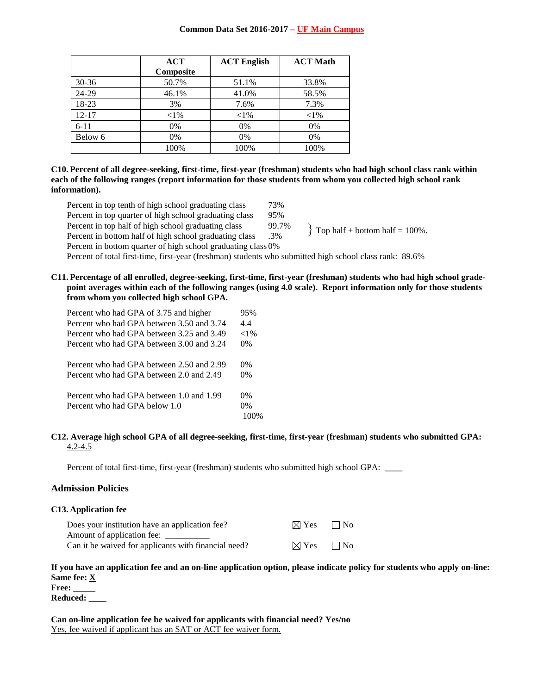|           | ACT       | <b>ACT English</b> | <b>ACT Math</b> |
|-----------|-----------|--------------------|-----------------|
|           | Composite |                    |                 |
| $30 - 36$ | 50.7%     | 51.1%              | 33.8%           |
| 24-29     | 46.1%     | 41.0%              | 58.5%           |
| 18-23     | 3%        | 7.6%               | 7.3%            |
| $12 - 17$ | ${<}1\%$  | ${<}1\%$           | ${<}1\%$        |
| $6 - 11$  | 0%        | 0%                 | 0%              |
| Below 6   | 0%        | 0%                 | 0%              |
|           | 100%      | 100%               | 100%            |

**C10. Percent of all degree-seeking, first-time, first-year (freshman) students who had high school class rank within each of the following ranges (report information for those students from whom you collected high school rank information).**

- Percent in top tenth of high school graduating class 73% Percent in top quarter of high school graduating class 95% Percent in top half of high school graduating class 99.7% Percent in bottom half of high school graduating class .3% Percent in bottom quarter of high school graduating class 0% Percent of total first-time, first-year (freshman) students who submitted high school class rank: 89.6%  $\}$  Top half + bottom half = 100%.
- **C11. Percentage of all enrolled, degree-seeking, first-time, first-year (freshman) students who had high school gradepoint averages within each of the following ranges (using 4.0 scale). Report information only for those students from whom you collected high school GPA.**

| Percent who had GPA of 3.75 and higher    | 95%      |
|-------------------------------------------|----------|
| Percent who had GPA between 3.50 and 3.74 | 4.4      |
| Percent who had GPA between 3.25 and 3.49 | ${<}1\%$ |
| Percent who had GPA between 3.00 and 3.24 | $0\%$    |
| Percent who had GPA between 2.50 and 2.99 | $0\%$    |
| Percent who had GPA between 2.0 and 2.49  | $0\%$    |
| Percent who had GPA between 1.0 and 1.99  | $0\%$    |
| Percent who had GPA below 1.0             | $0\%$    |
|                                           |          |

#### **C12. Average high school GPA of all degree-seeking, first-time, first-year (freshman) students who submitted GPA:** 4.2-4.5

Percent of total first-time, first-year (freshman) students who submitted high school GPA: \_\_\_\_

## **Admission Policies**

#### **C13. Application fee**

| Does your institution have an application fee?       | $\boxtimes$ Yes $\Box$ No |  |
|------------------------------------------------------|---------------------------|--|
| Amount of application fee: _                         |                           |  |
| Can it be waived for applicants with financial need? | $\boxtimes$ Yes $\Box$ No |  |

# **If you have an application fee and an on-line application option, please indicate policy for students who apply on-line: Same fee: X**

**Free: \_\_\_\_\_**

**Reduced: \_\_\_\_**

**Can on-line application fee be waived for applicants with financial need? Yes/no** Yes, fee waived if applicant has an SAT or ACT fee waiver form.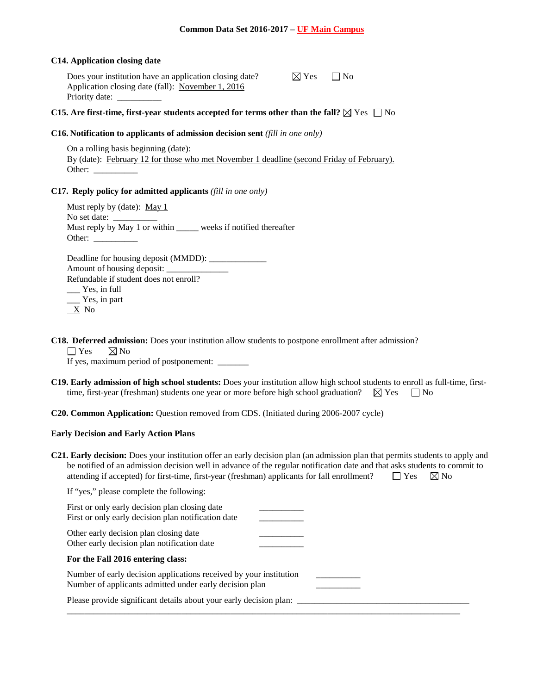#### **C14. Application closing date**

Does your institution have an application closing date? Application closing date (fall): November 1, 2016 Priority date: \_

| ◁<br><b>Yes</b> | l No |
|-----------------|------|
|-----------------|------|

## **C15.** Are first-time, first-year students accepted for terms other than the fall?  $\boxtimes$  Yes  $\Box$  No

#### **C16. Notification to applicants of admission decision sent** *(fill in one only)*

On a rolling basis beginning (date): By (date): February 12 for those who met November 1 deadline (second Friday of February). Other:

## **C17. Reply policy for admitted applicants** *(fill in one only)*

Must reply by (date): May 1 No set date: Must reply by May 1 or within \_\_\_\_\_\_ weeks if notified thereafter Other:

Deadline for housing deposit (MMDD): \_\_\_\_\_\_\_\_\_\_\_\_\_ Amount of housing deposit: Refundable if student does not enroll? \_\_\_ Yes, in full \_\_\_ Yes, in part X No

**C18. Deferred admission:** Does your institution allow students to postpone enrollment after admission?  $\Box$  Yes  $\boxtimes$  No

If yes, maximum period of postponement: \_\_\_\_\_\_

- **C19. Early admission of high school students:** Does your institution allow high school students to enroll as full-time, firsttime, first-year (freshman) students one year or more before high school graduation?  $\boxtimes$  Yes  $\Box$  No
- **C20. Common Application:** Question removed from CDS. (Initiated during 2006-2007 cycle)

## **Early Decision and Early Action Plans**

**C21. Early decision:** Does your institution offer an early decision plan (an admission plan that permits students to apply and be notified of an admission decision well in advance of the regular notification date and that asks students to commit to attending if accepted) for first-time, first-year (freshman) applicants for fall enrollment?  $\square$  Yes  $\boxtimes$  No

| If "yes," please complete the following:                                                                                      |  |
|-------------------------------------------------------------------------------------------------------------------------------|--|
| First or only early decision plan closing date<br>First or only early decision plan notification date                         |  |
| Other early decision plan closing date<br>Other early decision plan notification date                                         |  |
| For the Fall 2016 entering class:                                                                                             |  |
| Number of early decision applications received by your institution<br>Number of applicants admitted under early decision plan |  |
| Please provide significant details about your early decision plan:                                                            |  |

\_\_\_\_\_\_\_\_\_\_\_\_\_\_\_\_\_\_\_\_\_\_\_\_\_\_\_\_\_\_\_\_\_\_\_\_\_\_\_\_\_\_\_\_\_\_\_\_\_\_\_\_\_\_\_\_\_\_\_\_\_\_\_\_\_\_\_\_\_\_\_\_\_\_\_\_\_\_\_\_\_\_\_\_\_\_\_\_\_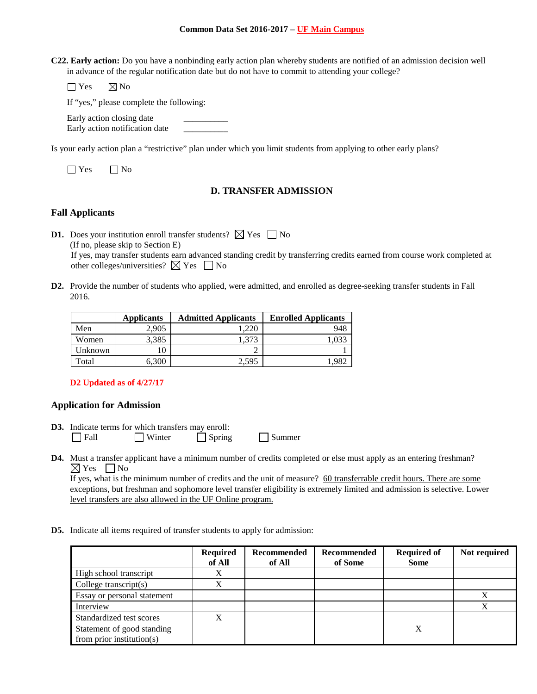**C22. Early action:** Do you have a nonbinding early action plan whereby students are notified of an admission decision well in advance of the regular notification date but do not have to commit to attending your college?

 $\Box$  Yes  $\boxtimes$  No

If "yes," please complete the following:

Early action closing date

Early action notification date \_\_\_\_\_\_\_\_\_\_

Is your early action plan a "restrictive" plan under which you limit students from applying to other early plans?

 $\Box$  Yes  $\Box$  No

# **D. TRANSFER ADMISSION**

# **Fall Applicants**

**D1.** Does your institution enroll transfer students?  $\boxtimes$  Yes  $\Box$  No (If no, please skip to Section E) If yes, may transfer students earn advanced standing credit by transferring credits earned from course work completed at other colleges/universities?  $\boxtimes$  Yes  $\Box$  No

**D2.** Provide the number of students who applied, were admitted, and enrolled as degree-seeking transfer students in Fall 2016.

|         | <b>Applicants</b> | <b>Admitted Applicants</b> | <b>Enrolled Applicants</b> |
|---------|-------------------|----------------------------|----------------------------|
| Men     | 2.905             | .220                       | 948                        |
| Women   | 3,385             | 1.373                      |                            |
| Unknown |                   |                            |                            |
| Total   | 6.300             | 2.595                      |                            |

**D2 Updated as of 4/27/17**

# **Application for Admission**

- **D3.** Indicate terms for which transfers may enroll: Fall Winter Spring Summer
- **D4.** Must a transfer applicant have a minimum number of credits completed or else must apply as an entering freshman?  $\boxtimes$  Yes  $\Box$  No

If yes, what is the minimum number of credits and the unit of measure? 60 transferrable credit hours. There are some exceptions, but freshman and sophomore level transfer eligibility is extremely limited and admission is selective. Lower level transfers are also allowed in the UF Online program.

**D5.** Indicate all items required of transfer students to apply for admission:

|                                                             | <b>Required</b><br>of All | <b>Recommended</b><br>of All | Recommended<br>of Some | <b>Required of</b><br><b>Some</b> | Not required |
|-------------------------------------------------------------|---------------------------|------------------------------|------------------------|-----------------------------------|--------------|
| High school transcript                                      |                           |                              |                        |                                   |              |
| College transcript $(s)$                                    | X                         |                              |                        |                                   |              |
| Essay or personal statement                                 |                           |                              |                        |                                   |              |
| Interview                                                   |                           |                              |                        |                                   |              |
| Standardized test scores                                    | X                         |                              |                        |                                   |              |
| Statement of good standing<br>from prior institution( $s$ ) |                           |                              |                        | X                                 |              |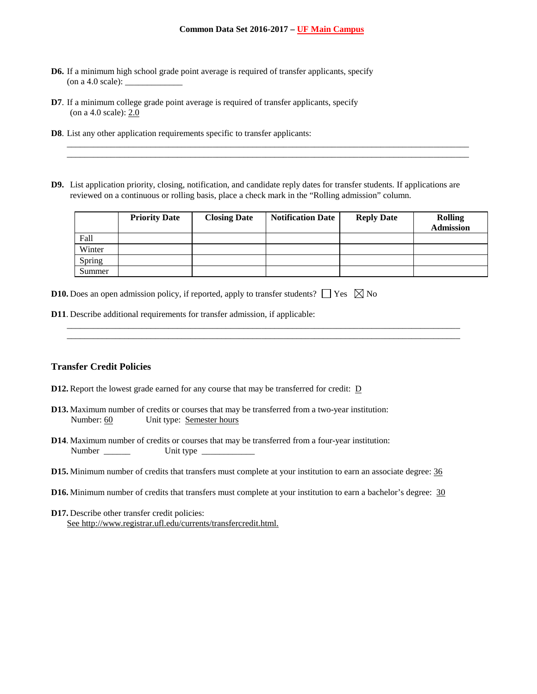- **D6.** If a minimum high school grade point average is required of transfer applicants, specify  $($ on a 4.0 scale $):$
- **D7**. If a minimum college grade point average is required of transfer applicants, specify (on a 4.0 scale): 2.0
- **D8**. List any other application requirements specific to transfer applicants:
- **D9.** List application priority, closing, notification, and candidate reply dates for transfer students. If applications are reviewed on a continuous or rolling basis, place a check mark in the "Rolling admission" column.

\_\_\_\_\_\_\_\_\_\_\_\_\_\_\_\_\_\_\_\_\_\_\_\_\_\_\_\_\_\_\_\_\_\_\_\_\_\_\_\_\_\_\_\_\_\_\_\_\_\_\_\_\_\_\_\_\_\_\_\_\_\_\_\_\_\_\_\_\_\_\_\_\_\_\_\_\_\_\_\_\_\_\_\_\_\_\_\_\_\_\_ \_\_\_\_\_\_\_\_\_\_\_\_\_\_\_\_\_\_\_\_\_\_\_\_\_\_\_\_\_\_\_\_\_\_\_\_\_\_\_\_\_\_\_\_\_\_\_\_\_\_\_\_\_\_\_\_\_\_\_\_\_\_\_\_\_\_\_\_\_\_\_\_\_\_\_\_\_\_\_\_\_\_\_\_\_\_\_\_\_\_\_

|        | <b>Priority Date</b> | <b>Closing Date</b> | <b>Notification Date</b> | <b>Reply Date</b> | <b>Rolling</b><br><b>Admission</b> |
|--------|----------------------|---------------------|--------------------------|-------------------|------------------------------------|
| Fall   |                      |                     |                          |                   |                                    |
| Winter |                      |                     |                          |                   |                                    |
| Spring |                      |                     |                          |                   |                                    |
| Summer |                      |                     |                          |                   |                                    |

\_\_\_\_\_\_\_\_\_\_\_\_\_\_\_\_\_\_\_\_\_\_\_\_\_\_\_\_\_\_\_\_\_\_\_\_\_\_\_\_\_\_\_\_\_\_\_\_\_\_\_\_\_\_\_\_\_\_\_\_\_\_\_\_\_\_\_\_\_\_\_\_\_\_\_\_\_\_\_\_\_\_\_\_\_\_\_\_\_ \_\_\_\_\_\_\_\_\_\_\_\_\_\_\_\_\_\_\_\_\_\_\_\_\_\_\_\_\_\_\_\_\_\_\_\_\_\_\_\_\_\_\_\_\_\_\_\_\_\_\_\_\_\_\_\_\_\_\_\_\_\_\_\_\_\_\_\_\_\_\_\_\_\_\_\_\_\_\_\_\_\_\_\_\_\_\_\_\_

|  |  |  |  |  | <b>D10.</b> Does an open admission policy, if reported, apply to transfer students? $\Box$ Yes $\boxtimes$ No |  |  |
|--|--|--|--|--|---------------------------------------------------------------------------------------------------------------|--|--|
|--|--|--|--|--|---------------------------------------------------------------------------------------------------------------|--|--|

**D11**. Describe additional requirements for transfer admission, if applicable:

## **Transfer Credit Policies**

- **D12.** Report the lowest grade earned for any course that may be transferred for credit: D
- **D13.** Maximum number of credits or courses that may be transferred from a two-year institution: Number: 60 Unit type: Semester hours
- **D14**. Maximum number of credits or courses that may be transferred from a four-year institution: Number \_\_\_\_\_\_ Unit type \_\_\_\_\_\_\_\_\_\_\_\_
- **D15.** Minimum number of credits that transfers must complete at your institution to earn an associate degree: 36
- **D16.** Minimum number of credits that transfers must complete at your institution to earn a bachelor's degree: 30
- **D17.** Describe other transfer credit policies: See [http://www.registrar.ufl.edu/currents/transfercredit.html.](http://www.registrar.ufl.edu/currents/transfercredit.html)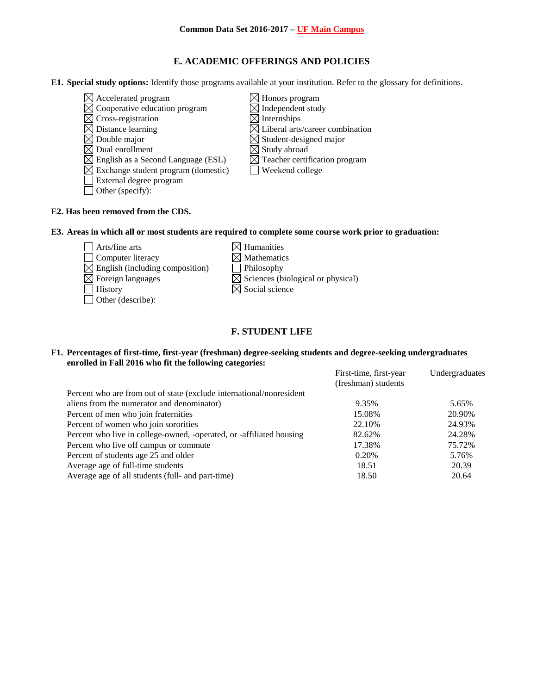# **E. ACADEMIC OFFERINGS AND POLICIES**

**E1. Special study options:** Identify those programs available at your institution. Refer to the glossary for definitions.

- $\boxtimes$  Accelerated program  $\boxtimes$  Honors program
- $\overline{\boxtimes}$  Cooperative education program  $\overline{\boxtimes}$  Independent study
- 
- $\boxtimes$  Cross-registration  $\boxtimes$  Internships<br> $\boxtimes$  Distance learning  $\boxtimes$  Liberal arts
- 
- $\boxtimes$  Double major<br>  $\boxtimes$  Dual enrollment<br>  $\boxtimes$  Student-designed major<br>  $\boxtimes$  Study abroad
- $\boxtimes$  English as a Second Language (ESL)
- $\boxtimes$  Exchange student program (domestic)  $\Box$  Weekend college
- External degree program
- Other (specify):
- 
- 
- $\boxtimes$  Liberal arts/career combination
- 
- 
- $\overline{\boxtimes}$  Study abroad<br> $\overline{\boxtimes}$  Teacher certification program
- 

# **E2. Has been removed from the CDS.**

## **E3. Areas in which all or most students are required to complete some course work prior to graduation:**

- $\Box$  Arts/fine arts  $\boxtimes$  Humanities  $\Box$  Computer literacy  $\boxtimes$  Mathematics  $\boxtimes$  English (including composition)  $\Box$  Philosophy  $\boxtimes$  Foreign languages  $\boxtimes$  Sciences (biological or physical)  $\Box$  History  $\boxtimes$  Social science Other (describe):
	-
	-

# **F. STUDENT LIFE**

## **F1. Percentages of first-time, first-year (freshman) degree-seeking students and degree-seeking undergraduates enrolled in Fall 2016 who fit the following categories:**

|                                                                      | First-time, first-year | Undergraduates |
|----------------------------------------------------------------------|------------------------|----------------|
|                                                                      | (freshman) students    |                |
| Percent who are from out of state (exclude international/nonresident |                        |                |
| aliens from the numerator and denominator)                           | 9.35%                  | 5.65%          |
| Percent of men who join fraternities                                 | 15.08%                 | 20.90%         |
| Percent of women who join sororities                                 | 22.10%                 | 24.93%         |
| Percent who live in college-owned, -operated, or -affiliated housing | 82.62%                 | 24.28%         |
| Percent who live off campus or commute                               | 17.38%                 | 75.72%         |
| Percent of students age 25 and older                                 | 0.20%                  | 5.76%          |
| Average age of full-time students                                    | 18.51                  | 20.39          |
| Average age of all students (full- and part-time)                    | 18.50                  | 20.64          |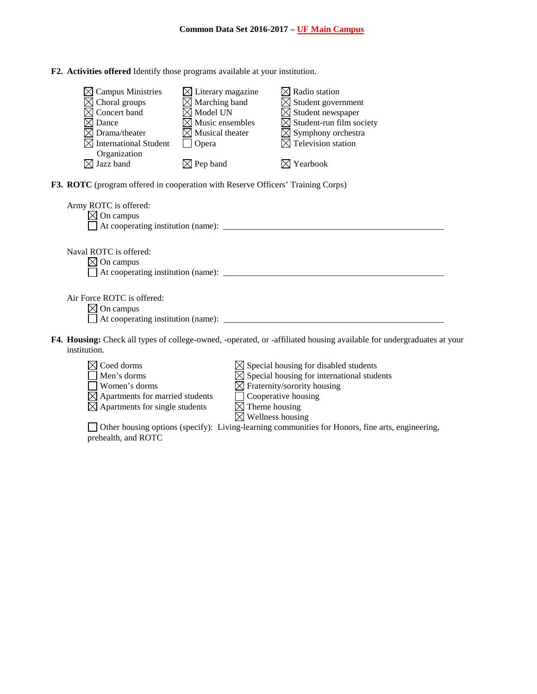|  |  |  |  |  |  | F2. Activities offered Identify those programs available at your institution. |
|--|--|--|--|--|--|-------------------------------------------------------------------------------|
|--|--|--|--|--|--|-------------------------------------------------------------------------------|

| $\boxtimes$ Campus Ministries                                                          | $\boxtimes$ Literary magazine |                              | $\boxtimes$ Radio station                                                                                             |  |
|----------------------------------------------------------------------------------------|-------------------------------|------------------------------|-----------------------------------------------------------------------------------------------------------------------|--|
| Choral groups                                                                          | $\boxtimes$ Marching band     |                              | $\boxtimes$ Student government                                                                                        |  |
| $\boxtimes$ Concert band                                                               | $\boxtimes$ Model UN          |                              | $\boxtimes$ Student newspaper                                                                                         |  |
| $\boxtimes$ Dance                                                                      | $\boxtimes$ Music ensembles   |                              | $\boxtimes$ Student-run film society                                                                                  |  |
| $\boxtimes$ Drama/theater                                                              | $\boxtimes$ Musical theater   |                              | $\boxtimes$ Symphony orchestra                                                                                        |  |
| <b>International Student</b>                                                           | Opera                         |                              | $\boxtimes$ Television station                                                                                        |  |
| Organization                                                                           |                               |                              |                                                                                                                       |  |
| $\boxtimes$ Jazz band                                                                  | $\boxtimes$ Pep band          |                              | $\boxtimes$ Yearbook                                                                                                  |  |
|                                                                                        |                               |                              |                                                                                                                       |  |
| <b>F3. ROTC</b> (program offered in cooperation with Reserve Officers' Training Corps) |                               |                              |                                                                                                                       |  |
|                                                                                        |                               |                              |                                                                                                                       |  |
| Army ROTC is offered:                                                                  |                               |                              |                                                                                                                       |  |
| $\boxtimes$ On campus                                                                  |                               |                              |                                                                                                                       |  |
|                                                                                        |                               |                              |                                                                                                                       |  |
|                                                                                        |                               |                              |                                                                                                                       |  |
|                                                                                        |                               |                              |                                                                                                                       |  |
| Naval ROTC is offered:                                                                 |                               |                              |                                                                                                                       |  |
| $\boxtimes$ On campus                                                                  |                               |                              |                                                                                                                       |  |
|                                                                                        |                               |                              |                                                                                                                       |  |
|                                                                                        |                               |                              |                                                                                                                       |  |
| Air Force ROTC is offered:                                                             |                               |                              |                                                                                                                       |  |
| $\boxtimes$ On campus                                                                  |                               |                              |                                                                                                                       |  |
|                                                                                        |                               |                              |                                                                                                                       |  |
|                                                                                        |                               |                              |                                                                                                                       |  |
|                                                                                        |                               |                              | F4. Housing: Check all types of college-owned, -operated, or -affiliated housing available for undergraduates at your |  |
| institution.                                                                           |                               |                              |                                                                                                                       |  |
|                                                                                        |                               |                              |                                                                                                                       |  |
| $\boxtimes$ Coed dorms                                                                 |                               |                              | $\boxtimes$ Special housing for disabled students                                                                     |  |
| Men's dorms                                                                            |                               |                              | $\boxtimes$ Special housing for international students                                                                |  |
| Women's dorms                                                                          |                               |                              | $\boxtimes$ Fraternity/sorority housing                                                                               |  |
| $\boxtimes$ Apartments for married students                                            |                               | Cooperative housing          |                                                                                                                       |  |
| $\boxtimes$ Apartments for single students                                             |                               | $\boxtimes$ Theme housing    |                                                                                                                       |  |
|                                                                                        |                               | $\boxtimes$ Wellness housing |                                                                                                                       |  |
|                                                                                        |                               |                              | Other housing options (specify): Living-learning communities for Honors, fine arts, engineering,                      |  |

prehealth, and ROTC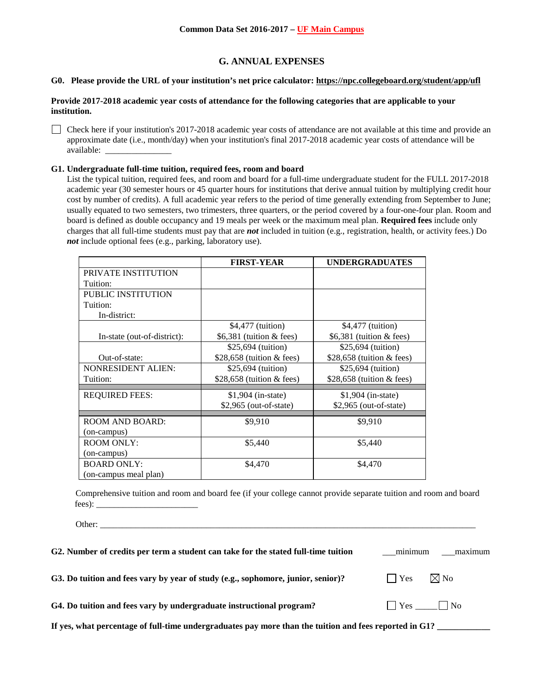# **G. ANNUAL EXPENSES**

#### **G0. Please provide the URL of your institution's net price calculator[: https://npc.collegeboard.org/student/app/ufl](https://npc.collegeboard.org/student/app/ufl)**

#### **Provide 2017-2018 academic year costs of attendance for the following categories that are applicable to your institution.**

Check here if your institution's 2017-2018 academic year costs of attendance are not available at this time and provide an approximate date (i.e., month/day) when your institution's final 2017-2018 academic year costs of attendance will be available: \_\_\_\_\_\_\_\_\_\_\_\_\_\_\_

#### **G1. Undergraduate full-time tuition, required fees, room and board**

List the typical tuition, required fees, and room and board for a full-time undergraduate student for the FULL 2017-2018 academic year (30 semester hours or 45 quarter hours for institutions that derive annual tuition by multiplying credit hour cost by number of credits). A full academic year refers to the period of time generally extending from September to June; usually equated to two semesters, two trimesters, three quarters, or the period covered by a four-one-four plan. Room and board is defined as double occupancy and 19 meals per week or the maximum meal plan. **Required fees** include only charges that all full-time students must pay that are *not* included in tuition (e.g., registration, health, or activity fees.) Do *not* include optional fees (e.g., parking, laboratory use).

|                             | <b>FIRST-YEAR</b>                   | <b>UNDERGRADUATES</b>              |
|-----------------------------|-------------------------------------|------------------------------------|
| PRIVATE INSTITUTION         |                                     |                                    |
| Tuition:                    |                                     |                                    |
| <b>PUBLIC INSTITUTION</b>   |                                     |                                    |
| Tuition:                    |                                     |                                    |
| In-district:                |                                     |                                    |
|                             | \$4,477 (tuition)                   | \$4,477 (tuition)                  |
| In-state (out-of-district): | \$6,381 (tuition $& \text{fees}$ )  | \$6,381 (tuition $& \text{fees}$ ) |
|                             | \$25,694 (tuition)                  | \$25,694 (tuition)                 |
| Out-of-state:               | \$28,658 (tuition $& fees$ )        | \$28,658 (tuition $&$ fees)        |
| <b>NONRESIDENT ALIEN:</b>   | \$25,694 (tuition)                  | \$25,694 (tuition)                 |
| Tuition:                    | \$28,658 (tuition $& \text{fees}$ ) | \$28,658 (tuition $&$ fees)        |
| <b>REQUIRED FEES:</b>       | $$1,904$ (in-state)                 | $$1,904$ (in-state)                |
|                             | $$2,965$ (out-of-state)             | $$2,965$ (out-of-state)            |
| ROOM AND BOARD:             | \$9,910                             | \$9,910                            |
| (on-campus)                 |                                     |                                    |
| <b>ROOM ONLY:</b>           | \$5,440                             | \$5,440                            |
| (on-campus)                 |                                     |                                    |
| <b>BOARD ONLY:</b>          | \$4,470                             | \$4,470                            |
| (on-campus meal plan)       |                                     |                                    |

Comprehensive tuition and room and board fee (if your college cannot provide separate tuition and room and board  $fees)$ :

Other: \_\_\_\_\_\_\_\_\_\_\_\_\_\_\_\_\_\_\_\_\_\_\_\_\_\_\_\_\_\_\_\_\_\_\_\_\_\_\_\_\_\_\_\_\_\_\_\_\_\_\_\_\_\_\_\_\_\_\_\_\_\_\_\_\_\_\_\_\_\_\_\_\_\_\_\_\_\_\_\_\_\_\_\_\_

| G2. Number of credits per term a student can take for the stated full-time tuition                     | minimum                    | maximum        |
|--------------------------------------------------------------------------------------------------------|----------------------------|----------------|
| G3. Do tuition and fees vary by year of study (e.g., sophomore, junior, senior)?                       | $\blacksquare$ Yes         | $\boxtimes$ No |
| G4. Do tuition and fees vary by undergraduate instructional program?                                   | $\bigcap$ Yes $\bigcap$ No |                |
| If yes, what percentage of full-time undergraduates pay more than the tuition and fees reported in G1? |                            |                |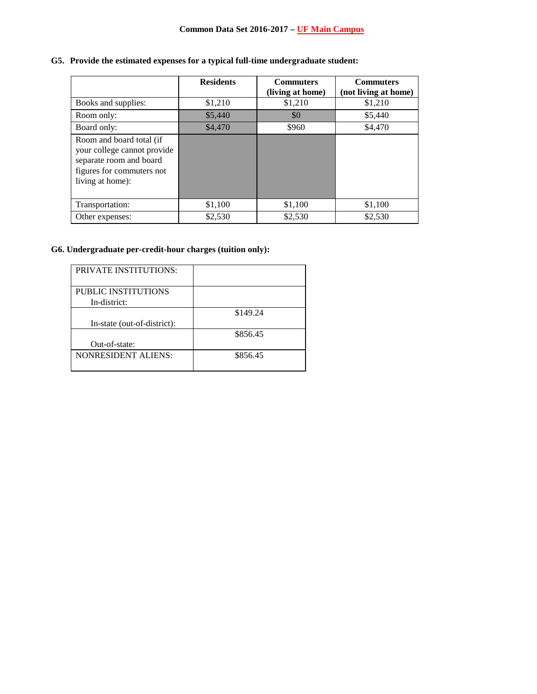# **G5. Provide the estimated expenses for a typical full-time undergraduate student:**

|                                                                                                                                     | <b>Residents</b> | <b>Commuters</b><br>(living at home) | <b>Commuters</b><br>(not living at home) |
|-------------------------------------------------------------------------------------------------------------------------------------|------------------|--------------------------------------|------------------------------------------|
| Books and supplies:                                                                                                                 | \$1,210          | \$1,210                              | \$1,210                                  |
| Room only:                                                                                                                          | \$5,440          | \$0                                  | \$5,440                                  |
| Board only:                                                                                                                         | \$4,470          | \$960                                | \$4,470                                  |
| Room and board total (if<br>your college cannot provide<br>separate room and board<br>figures for commuters not<br>living at home): |                  |                                      |                                          |
| Transportation:                                                                                                                     | \$1,100          | \$1,100                              | \$1,100                                  |
| Other expenses:                                                                                                                     | \$2,530          | \$2,530                              | \$2,530                                  |

# **G6. Undergraduate per-credit-hour charges (tuition only):**

| <b>PRIVATE INSTITUTIONS:</b> |          |
|------------------------------|----------|
| <b>PUBLIC INSTITUTIONS</b>   |          |
| In-district:                 |          |
|                              | \$149.24 |
| In-state (out-of-district):  |          |
|                              | \$856.45 |
| Out-of-state:                |          |
| <b>NONRESIDENT ALIENS:</b>   | \$856.45 |
|                              |          |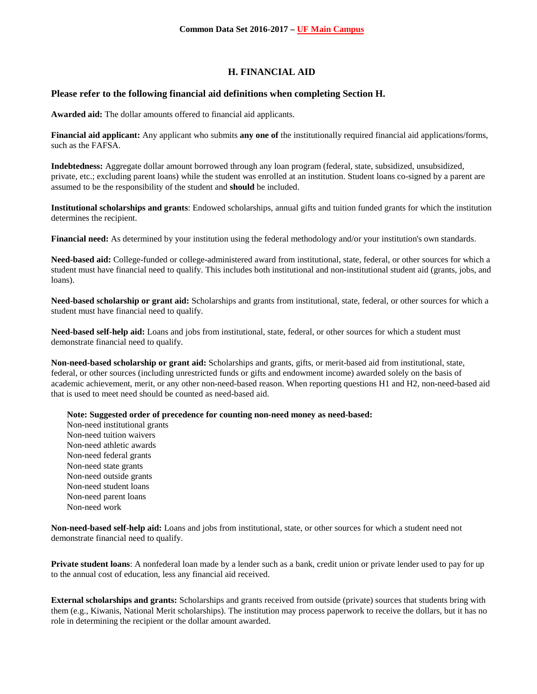# **H. FINANCIAL AID**

## **Please refer to the following financial aid definitions when completing Section H.**

**Awarded aid:** The dollar amounts offered to financial aid applicants.

**Financial aid applicant:** Any applicant who submits **any one of** the institutionally required financial aid applications/forms, such as the FAFSA.

**Indebtedness:** Aggregate dollar amount borrowed through any loan program (federal, state, subsidized, unsubsidized, private, etc.; excluding parent loans) while the student was enrolled at an institution. Student loans co-signed by a parent are assumed to be the responsibility of the student and **should** be included.

**Institutional scholarships and grants**: Endowed scholarships, annual gifts and tuition funded grants for which the institution determines the recipient.

**Financial need:** As determined by your institution using the federal methodology and/or your institution's own standards.

**Need-based aid:** College-funded or college-administered award from institutional, state, federal, or other sources for which a student must have financial need to qualify. This includes both institutional and non-institutional student aid (grants, jobs, and loans).

**Need-based scholarship or grant aid:** Scholarships and grants from institutional, state, federal, or other sources for which a student must have financial need to qualify.

**Need-based self-help aid:** Loans and jobs from institutional, state, federal, or other sources for which a student must demonstrate financial need to qualify.

**Non-need-based scholarship or grant aid:** Scholarships and grants, gifts, or merit-based aid from institutional, state, federal, or other sources (including unrestricted funds or gifts and endowment income) awarded solely on the basis of academic achievement, merit, or any other non-need-based reason. When reporting questions H1 and H2, non-need-based aid that is used to meet need should be counted as need-based aid.

**Note: Suggested order of precedence for counting non-need money as need-based:**

Non-need institutional grants Non-need tuition waivers Non-need athletic awards Non-need federal grants Non-need state grants Non-need outside grants Non-need student loans Non-need parent loans Non-need work

**Non-need-based self-help aid:** Loans and jobs from institutional, state, or other sources for which a student need not demonstrate financial need to qualify.

**Private student loans**: A nonfederal loan made by a lender such as a bank, credit union or private lender used to pay for up to the annual cost of education, less any financial aid received.

**External scholarships and grants:** Scholarships and grants received from outside (private) sources that students bring with them (e.g., Kiwanis, National Merit scholarships). The institution may process paperwork to receive the dollars, but it has no role in determining the recipient or the dollar amount awarded.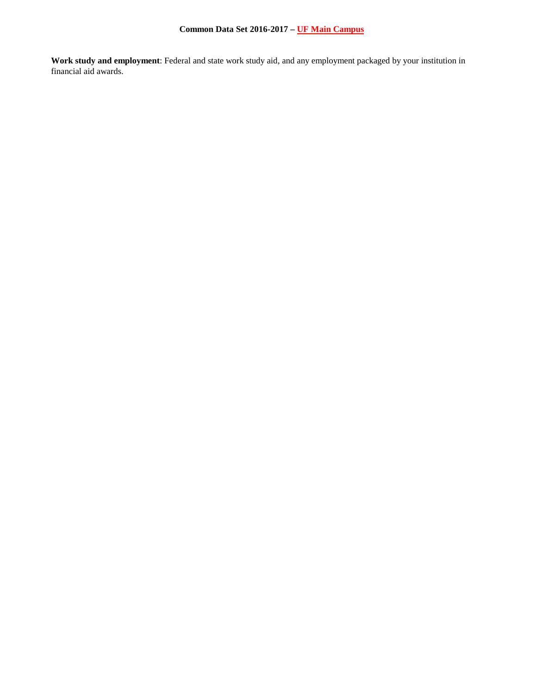**Work study and employment**: Federal and state work study aid, and any employment packaged by your institution in financial aid awards.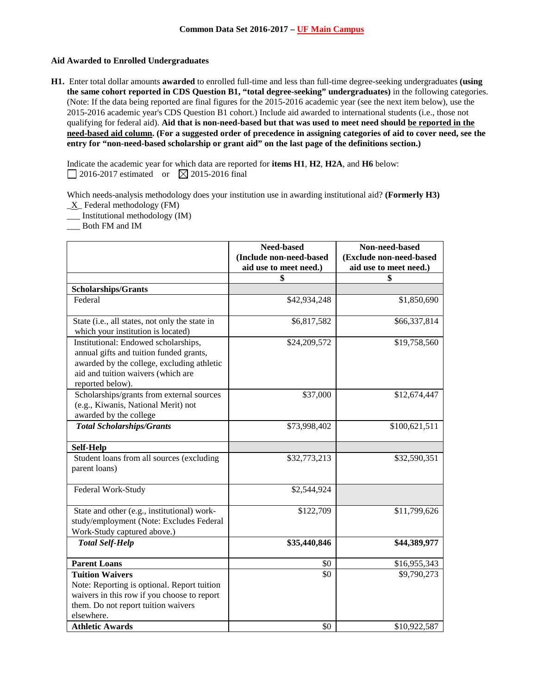## **Aid Awarded to Enrolled Undergraduates**

**H1.** Enter total dollar amounts **awarded** to enrolled full-time and less than full-time degree-seeking undergraduates **(using the same cohort reported in CDS Question B1, "total degree-seeking" undergraduates)** in the following categories. (Note: If the data being reported are final figures for the 2015-2016 academic year (see the next item below), use the 2015-2016 academic year's CDS Question B1 cohort.) Include aid awarded to international students (i.e., those not qualifying for federal aid). **Aid that is non-need-based but that was used to meet need should be reported in the need-based aid column. (For a suggested order of precedence in assigning categories of aid to cover need, see the entry for "non-need-based scholarship or grant aid" on the last page of the definitions section.)**

Indicate the academic year for which data are reported for **items H1**, **H2**, **H2A**, and **H6** below:  $\Box$  2016-2017 estimated or  $\boxtimes$  2015-2016 final

Which needs-analysis methodology does your institution use in awarding institutional aid? **(Formerly H3)**  $X$  Federal methodology (FM)

\_\_\_ Institutional methodology (IM)

\_\_\_ Both FM and IM

|                                                                                                                                                                                         | Need-based<br>(Include non-need-based | Non-need-based<br>(Exclude non-need-based |
|-----------------------------------------------------------------------------------------------------------------------------------------------------------------------------------------|---------------------------------------|-------------------------------------------|
|                                                                                                                                                                                         | aid use to meet need.)                | aid use to meet need.)                    |
|                                                                                                                                                                                         | \$                                    | \$                                        |
| <b>Scholarships/Grants</b>                                                                                                                                                              |                                       |                                           |
| Federal                                                                                                                                                                                 | \$42,934,248                          | \$1,850,690                               |
| State (i.e., all states, not only the state in<br>which your institution is located)                                                                                                    | \$6,817,582                           | \$66,337,814                              |
| Institutional: Endowed scholarships,<br>annual gifts and tuition funded grants,<br>awarded by the college, excluding athletic<br>aid and tuition waivers (which are<br>reported below). | \$24,209,572                          | \$19,758,560                              |
| Scholarships/grants from external sources<br>(e.g., Kiwanis, National Merit) not<br>awarded by the college                                                                              | \$37,000                              | \$12,674,447                              |
| <b>Total Scholarships/Grants</b>                                                                                                                                                        | \$73,998,402                          | \$100,621,511                             |
| <b>Self-Help</b>                                                                                                                                                                        |                                       |                                           |
| Student loans from all sources (excluding<br>parent loans)                                                                                                                              | \$32,773,213                          | \$32,590,351                              |
| Federal Work-Study                                                                                                                                                                      | \$2,544,924                           |                                           |
| State and other (e.g., institutional) work-<br>study/employment (Note: Excludes Federal<br>Work-Study captured above.)                                                                  | \$122,709                             | \$11,799,626                              |
| <b>Total Self-Help</b>                                                                                                                                                                  | \$35,440,846                          | \$44,389,977                              |
| <b>Parent Loans</b>                                                                                                                                                                     | \$0                                   | \$16,955,343                              |
| <b>Tuition Waivers</b><br>Note: Reporting is optional. Report tuition<br>waivers in this row if you choose to report<br>them. Do not report tuition waivers<br>elsewhere.               | \$0                                   | \$9,790,273                               |
| <b>Athletic Awards</b>                                                                                                                                                                  | \$0                                   | \$10,922,587                              |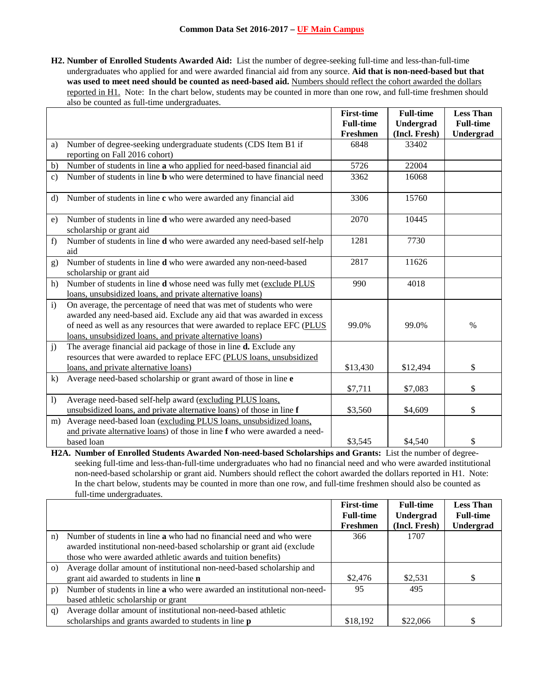**H2. Number of Enrolled Students Awarded Aid:** List the number of degree-seeking full-time and less-than-full-time undergraduates who applied for and were awarded financial aid from any source. **Aid that is non-need-based but that**  was used to meet need should be counted as need-based aid. Numbers should reflect the cohort awarded the dollars reported in H1. Note: In the chart below, students may be counted in more than one row, and full-time freshmen should also be counted as full-time undergraduates.

|                |                                                                                                                                                                                                                                                                                        | <b>First-time</b> | <b>Full-time</b> | <b>Less Than</b> |
|----------------|----------------------------------------------------------------------------------------------------------------------------------------------------------------------------------------------------------------------------------------------------------------------------------------|-------------------|------------------|------------------|
|                |                                                                                                                                                                                                                                                                                        | <b>Full-time</b>  | Undergrad        | <b>Full-time</b> |
|                |                                                                                                                                                                                                                                                                                        | Freshmen          | (Incl. Fresh)    | Undergrad        |
| a)             | Number of degree-seeking undergraduate students (CDS Item B1 if                                                                                                                                                                                                                        | 6848              | 33402            |                  |
|                | reporting on Fall 2016 cohort)                                                                                                                                                                                                                                                         |                   |                  |                  |
| b)             | Number of students in line a who applied for need-based financial aid                                                                                                                                                                                                                  | 5726              | 22004            |                  |
| $\mathbf{c}$ ) | Number of students in line <b>b</b> who were determined to have financial need                                                                                                                                                                                                         | 3362              | 16068            |                  |
| $\mathbf{d}$   | Number of students in line c who were awarded any financial aid                                                                                                                                                                                                                        | 3306              | 15760            |                  |
| e)             | Number of students in line d who were awarded any need-based<br>scholarship or grant aid                                                                                                                                                                                               | 2070              | 10445            |                  |
| f)             | Number of students in line d who were awarded any need-based self-help<br>aid                                                                                                                                                                                                          | 1281              | 7730             |                  |
| g)             | Number of students in line d who were awarded any non-need-based<br>scholarship or grant aid                                                                                                                                                                                           | 2817              | 11626            |                  |
| h)             | Number of students in line d whose need was fully met (exclude PLUS<br>loans, unsubsidized loans, and private alternative loans)                                                                                                                                                       | 990               | 4018             |                  |
| $\mathbf{i}$   | On average, the percentage of need that was met of students who were<br>awarded any need-based aid. Exclude any aid that was awarded in excess<br>of need as well as any resources that were awarded to replace EFC (PLUS<br>loans, unsubsidized loans, and private alternative loans) | 99.0%             | 99.0%            | $\%$             |
| j)             | The average financial aid package of those in line d. Exclude any<br>resources that were awarded to replace EFC (PLUS loans, unsubsidized<br>loans, and private alternative loans)                                                                                                     | \$13,430          | \$12,494         | \$               |
| k)             | Average need-based scholarship or grant award of those in line e                                                                                                                                                                                                                       |                   |                  |                  |
|                |                                                                                                                                                                                                                                                                                        | \$7,711           | \$7,083          | \$               |
| 1)             | Average need-based self-help award (excluding PLUS loans,                                                                                                                                                                                                                              |                   |                  |                  |
|                | unsubsidized loans, and private alternative loans) of those in line f                                                                                                                                                                                                                  | \$3,560           | \$4,609          | \$               |
| m)             | Average need-based loan (excluding PLUS loans, unsubsidized loans,                                                                                                                                                                                                                     |                   |                  |                  |
|                | and private alternative loans) of those in line f who were awarded a need-                                                                                                                                                                                                             |                   |                  |                  |
|                | based loan                                                                                                                                                                                                                                                                             | \$3,545           | \$4,540          | \$               |

**H2A. Number of Enrolled Students Awarded Non-need-based Scholarships and Grants:** List the number of degreeseeking full-time and less-than-full-time undergraduates who had no financial need and who were awarded institutional non-need-based scholarship or grant aid. Numbers should reflect the cohort awarded the dollars reported in H1. Note: In the chart below, students may be counted in more than one row, and full-time freshmen should also be counted as full-time undergraduates.

|          |                                                                            | <b>First-time</b> | <b>Full-time</b> | <b>Less Than</b> |
|----------|----------------------------------------------------------------------------|-------------------|------------------|------------------|
|          |                                                                            | <b>Full-time</b>  | Undergrad        | <b>Full-time</b> |
|          |                                                                            | Freshmen          | (Incl. Fresh)    | Undergrad        |
| n)       | Number of students in line <b>a</b> who had no financial need and who were | 366               | 1707             |                  |
|          | awarded institutional non-need-based scholarship or grant aid (exclude     |                   |                  |                  |
|          | those who were awarded athletic awards and tuition benefits)               |                   |                  |                  |
| $\Omega$ | Average dollar amount of institutional non-need-based scholarship and      |                   |                  |                  |
|          | grant aid awarded to students in line <b>n</b>                             | \$2,476           | \$2,531          | \$               |
| p)       | Number of students in line a who were awarded an institutional non-need-   | 95                | 495              |                  |
|          | based athletic scholarship or grant                                        |                   |                  |                  |
| q)       | Average dollar amount of institutional non-need-based athletic             |                   |                  |                  |
|          | scholarships and grants awarded to students in line <b>p</b>               | \$18,192          | \$22,066         | \$               |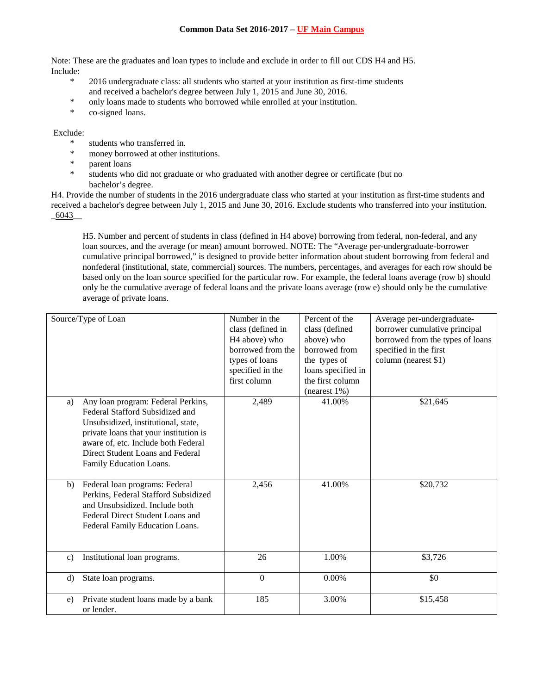Note: These are the graduates and loan types to include and exclude in order to fill out CDS H4 and H5. Include:

- \* 2016 undergraduate class: all students who started at your institution as first-time students and received a bachelor's degree between July 1, 2015 and June 30, 2016.
- \* only loans made to students who borrowed while enrolled at your institution.
- \* co-signed loans.

Exclude:

- \* students who transferred in.
- \* money borrowed at other institutions.
- \* parent loans
- students who did not graduate or who graduated with another degree or certificate (but no bachelor's degree.

H4. Provide the number of students in the 2016 undergraduate class who started at your institution as first-time students and received a bachelor's degree between July 1, 2015 and June 30, 2016. Exclude students who transferred into your institution. \_6043\_\_

H5. Number and percent of students in class (defined in H4 above) borrowing from federal, non-federal, and any loan sources, and the average (or mean) amount borrowed. NOTE: The "Average per-undergraduate-borrower cumulative principal borrowed," is designed to provide better information about student borrowing from federal and nonfederal (institutional, state, commercial) sources. The numbers, percentages, and averages for each row should be based only on the loan source specified for the particular row. For example, the federal loans average (row b) should only be the cumulative average of federal loans and the private loans average (row e) should only be the cumulative average of private loans.

|                | Source/Type of Loan                                                                                                                                                                                                                                          | Number in the<br>class (defined in<br>H <sub>4</sub> above) who<br>borrowed from the<br>types of loans<br>specified in the<br>first column | Percent of the<br>class (defined<br>above) who<br>borrowed from<br>the types of<br>loans specified in<br>the first column<br>(nearest $1\%$ ) | Average per-undergraduate-<br>borrower cumulative principal<br>borrowed from the types of loans<br>specified in the first<br>column (nearest \$1) |
|----------------|--------------------------------------------------------------------------------------------------------------------------------------------------------------------------------------------------------------------------------------------------------------|--------------------------------------------------------------------------------------------------------------------------------------------|-----------------------------------------------------------------------------------------------------------------------------------------------|---------------------------------------------------------------------------------------------------------------------------------------------------|
| a)             | Any loan program: Federal Perkins,<br>Federal Stafford Subsidized and<br>Unsubsidized, institutional, state,<br>private loans that your institution is<br>aware of, etc. Include both Federal<br>Direct Student Loans and Federal<br>Family Education Loans. | 2,489                                                                                                                                      | 41.00%                                                                                                                                        | \$21,645                                                                                                                                          |
| b)             | Federal loan programs: Federal<br>Perkins, Federal Stafford Subsidized<br>and Unsubsidized. Include both<br>Federal Direct Student Loans and<br>Federal Family Education Loans.                                                                              | 2,456                                                                                                                                      | 41.00%                                                                                                                                        | \$20,732                                                                                                                                          |
| $\mathbf{c}$ ) | Institutional loan programs.                                                                                                                                                                                                                                 | 26                                                                                                                                         | 1.00%                                                                                                                                         | \$3,726                                                                                                                                           |
| d)             | State loan programs.                                                                                                                                                                                                                                         | $\mathbf{0}$                                                                                                                               | $0.00\%$                                                                                                                                      | \$0                                                                                                                                               |
| e)             | Private student loans made by a bank<br>or lender.                                                                                                                                                                                                           | 185                                                                                                                                        | 3.00%                                                                                                                                         | \$15,458                                                                                                                                          |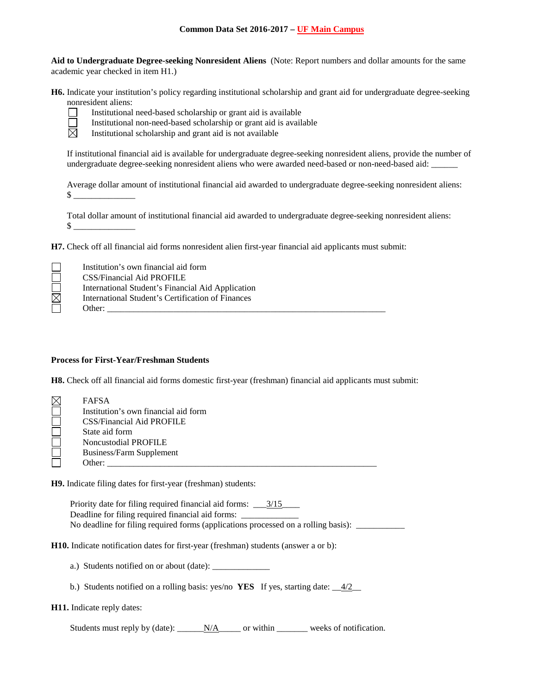**Aid to Undergraduate Degree-seeking Nonresident Aliens** (Note: Report numbers and dollar amounts for the same academic year checked in item H1.)

**H6.** Indicate your institution's policy regarding institutional scholarship and grant aid for undergraduate degree-seeking nonresident aliens:



Institutional need-based scholarship or grant aid is available

Institutional non-need-based scholarship or grant aid is available

Institutional scholarship and grant aid is not available

If institutional financial aid is available for undergraduate degree-seeking nonresident aliens, provide the number of undergraduate degree-seeking nonresident aliens who were awarded need-based or non-need-based aid:

Average dollar amount of institutional financial aid awarded to undergraduate degree-seeking nonresident aliens:  $\frac{\text{S}}{\text{S}}$ 

Total dollar amount of institutional financial aid awarded to undergraduate degree-seeking nonresident aliens:  $\mathcal{S}$ 

**H7.** Check off all financial aid forms nonresident alien first-year financial aid applicants must submit:

|             | Institution's own financial aid form              |
|-------------|---------------------------------------------------|
|             | <b>CSS/Financial Aid PROFILE</b>                  |
|             | International Student's Financial Aid Application |
| $\boxtimes$ | International Student's Certification of Finances |
|             | Other:                                            |

#### **Process for First-Year/Freshman Students**

**H8.** Check off all financial aid forms domestic first-year (freshman) financial aid applicants must submit:

| <b>FAFSA</b>                         |
|--------------------------------------|
| Institution's own financial aid form |
| <b>CSS/Financial Aid PROFILE</b>     |
| State aid form                       |
| Noncustodial PROFILE                 |
| <b>Business/Farm Supplement</b>      |
| Other:                               |

**H9.** Indicate filing dates for first-year (freshman) students:

Priority date for filing required financial aid forms: \_\_\_3/15\_\_\_\_ Deadline for filing required financial aid forms: \_\_\_\_\_\_\_\_\_\_\_\_\_\_\_\_\_\_\_\_\_\_\_\_\_\_\_\_\_\_\_ No deadline for filing required forms (applications processed on a rolling basis): \_\_\_\_\_\_\_\_\_\_\_\_\_\_\_\_\_\_\_\_\_\_\_\_\_\_\_

**H10.** Indicate notification dates for first-year (freshman) students (answer a or b):

- a.) Students notified on or about (date): \_\_\_\_\_\_\_\_\_\_\_\_\_
- b.) Students notified on a rolling basis: yes/no **YES** If yes, starting date:  $\frac{4/2}{2}$

#### **H11.** Indicate reply dates:

Students must reply by (date): N/A\_\_\_\_\_\_ or within \_\_\_\_\_\_\_\_\_ weeks of notification.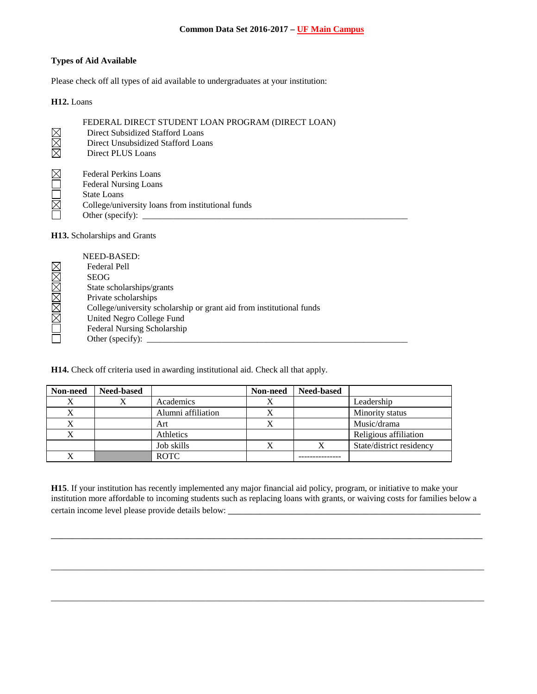## **Types of Aid Available**

Please check off all types of aid available to undergraduates at your institution:

## **H12.** Loans

| FEDERAL DIRECT STUDENT LOAN PROGRAM (DIRECT LOAN)<br>Direct Subsidized Stafford Loans<br>Direct Unsubsidized Stafford Loans<br>Direct PLUS Loans                   |
|--------------------------------------------------------------------------------------------------------------------------------------------------------------------|
| <b>Federal Perkins Loans</b><br><b>Federal Nursing Loans</b><br><b>State Loans</b><br>College/university loans from institutional funds<br>Other (specify): $\_\_$ |
| <b>H13.</b> Scholarships and Grants                                                                                                                                |
| NEED-BASED:<br>Federal Pell<br><b>SEOG</b><br>State scholarships/grants<br>Daireadh a bhallachta an                                                                |
|                                                                                                                                                                    |

 Private scholarships **NNEX** 

College/university scholarship or grant aid from institutional funds

United Negro College Fund

Federal Nursing Scholarship

Other (specify):  $\_\_$ 

**H14.** Check off criteria used in awarding institutional aid. Check all that apply.

| Non-need | <b>Need-based</b> |                    | Non-need  | <b>Need-based</b> |                          |
|----------|-------------------|--------------------|-----------|-------------------|--------------------------|
|          |                   | Academics          |           |                   | Leadership               |
|          |                   | Alumni affiliation |           |                   | Minority status          |
| X        |                   | Art                | $\Lambda$ |                   | Music/drama              |
| X        |                   | Athletics          |           |                   | Religious affiliation    |
|          |                   | Job skills         |           |                   | State/district residency |
|          |                   | <b>ROTC</b>        |           |                   |                          |

**H15**. If your institution has recently implemented any major financial aid policy, program, or initiative to make your institution more affordable to incoming students such as replacing loans with grants, or waiving costs for families below a certain income level please provide details below: \_\_\_\_\_\_\_\_\_\_\_\_\_\_\_\_\_\_\_\_\_\_\_\_\_\_\_\_\_\_

\_\_\_\_\_\_\_\_\_\_\_\_\_\_\_\_\_\_\_\_\_\_\_\_\_\_\_\_\_\_\_\_\_\_\_\_\_\_\_\_\_\_\_\_\_\_\_\_\_\_\_\_\_\_\_\_\_\_\_\_\_\_\_\_\_\_\_\_\_\_\_\_\_\_\_\_\_\_\_\_\_\_

\_\_\_\_\_\_\_\_\_\_\_\_\_\_\_\_\_\_\_\_\_\_\_\_\_\_\_\_\_\_\_\_\_\_\_\_\_\_\_\_\_\_\_\_\_\_\_\_\_\_\_\_\_\_\_\_\_\_\_\_\_\_\_\_\_\_\_\_\_\_\_\_\_\_\_\_\_\_\_\_\_\_\_\_\_\_\_\_\_\_\_\_\_\_\_\_\_\_

\_\_\_\_\_\_\_\_\_\_\_\_\_\_\_\_\_\_\_\_\_\_\_\_\_\_\_\_\_\_\_\_\_\_\_\_\_\_\_\_\_\_\_\_\_\_\_\_\_\_\_\_\_\_\_\_\_\_\_\_\_\_\_\_\_\_\_\_\_\_\_\_\_\_\_\_\_\_\_\_\_\_\_\_\_\_\_\_\_\_\_\_\_\_\_\_\_\_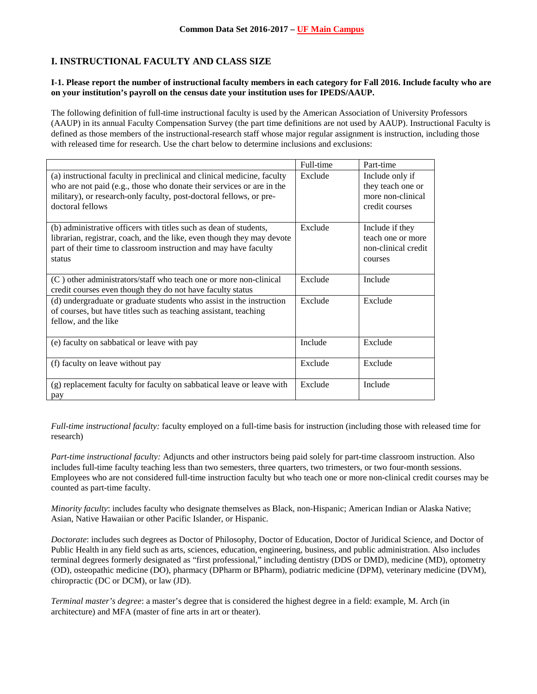# **I. INSTRUCTIONAL FACULTY AND CLASS SIZE**

### **I-1. Please report the number of instructional faculty members in each category for Fall 2016. Include faculty who are on your institution's payroll on the census date your institution uses for IPEDS/AAUP.**

The following definition of full-time instructional faculty is used by the American Association of University Professors (AAUP) in its annual Faculty Compensation Survey (the part time definitions are not used by AAUP). Instructional Faculty is defined as those members of the instructional-research staff whose major regular assignment is instruction, including those with released time for research. Use the chart below to determine inclusions and exclusions:

|                                                                                                                                                                                                                                             | Full-time | Part-time                                                                   |
|---------------------------------------------------------------------------------------------------------------------------------------------------------------------------------------------------------------------------------------------|-----------|-----------------------------------------------------------------------------|
| (a) instructional faculty in preclinical and clinical medicine, faculty<br>who are not paid (e.g., those who donate their services or are in the<br>military), or research-only faculty, post-doctoral fellows, or pre-<br>doctoral fellows | Exclude   | Include only if<br>they teach one or<br>more non-clinical<br>credit courses |
| (b) administrative officers with titles such as dean of students,<br>librarian, registrar, coach, and the like, even though they may devote<br>part of their time to classroom instruction and may have faculty<br>status                   | Exclude   | Include if they<br>teach one or more<br>non-clinical credit<br>courses      |
| (C) other administrators/staff who teach one or more non-clinical<br>credit courses even though they do not have faculty status                                                                                                             | Exclude   | Include                                                                     |
| (d) undergraduate or graduate students who assist in the instruction<br>of courses, but have titles such as teaching assistant, teaching<br>fellow, and the like                                                                            | Exclude   | Exclude                                                                     |
| (e) faculty on sabbatical or leave with pay                                                                                                                                                                                                 | Include   | Exclude                                                                     |
| (f) faculty on leave without pay                                                                                                                                                                                                            | Exclude   | Exclude                                                                     |
| (g) replacement faculty for faculty on sabbatical leave or leave with<br>pay                                                                                                                                                                | Exclude   | Include                                                                     |

*Full-time instructional faculty:* faculty employed on a full-time basis for instruction (including those with released time for research)

*Part-time instructional faculty:* Adjuncts and other instructors being paid solely for part-time classroom instruction. Also includes full-time faculty teaching less than two semesters, three quarters, two trimesters, or two four-month sessions. Employees who are not considered full-time instruction faculty but who teach one or more non-clinical credit courses may be counted as part-time faculty.

*Minority faculty*: includes faculty who designate themselves as Black, non-Hispanic; American Indian or Alaska Native; Asian, Native Hawaiian or other Pacific Islander, or Hispanic.

*Doctorate*: includes such degrees as Doctor of Philosophy, Doctor of Education, Doctor of Juridical Science, and Doctor of Public Health in any field such as arts, sciences, education, engineering, business, and public administration. Also includes terminal degrees formerly designated as "first professional," including dentistry (DDS or DMD), medicine (MD), optometry (OD), osteopathic medicine (DO), pharmacy (DPharm or BPharm), podiatric medicine (DPM), veterinary medicine (DVM), chiropractic (DC or DCM), or law (JD).

*Terminal master's degree*: a master's degree that is considered the highest degree in a field: example, M. Arch (in architecture) and MFA (master of fine arts in art or theater).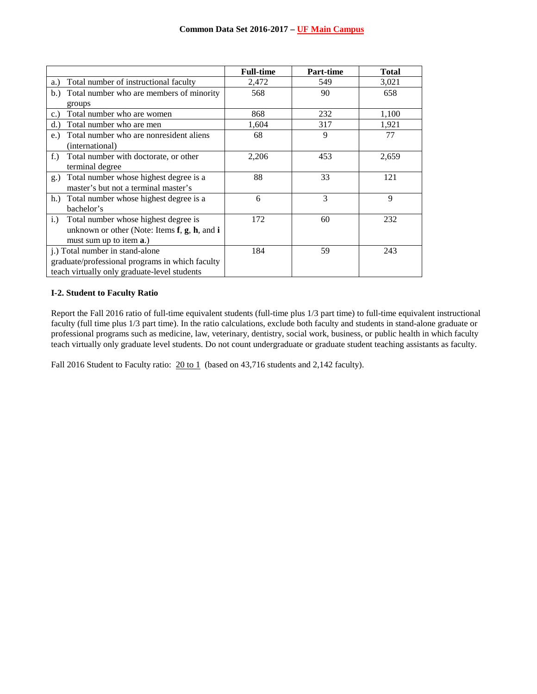|                                                         | <b>Full-time</b> | Part-time | <b>Total</b> |
|---------------------------------------------------------|------------------|-----------|--------------|
| Total number of instructional faculty<br>a.)            | 2,472            | 549       | 3,021        |
| Total number who are members of minority<br>b.          | 568              | 90        | 658          |
| groups                                                  |                  |           |              |
| Total number who are women<br>$c.$ )                    | 868              | 232       | 1,100        |
| Total number who are men<br>d.                          | 1,604            | 317       | 1,921        |
| Total number who are nonresident aliens<br>$e$ .        | 68               | 9         | 77           |
| (international)                                         |                  |           |              |
| $f$ .)<br>Total number with doctorate, or other         | 2,206            | 453       | 2,659        |
| terminal degree                                         |                  |           |              |
| Total number whose highest degree is a<br>g.)           | 88               | 33        | 121          |
| master's but not a terminal master's                    |                  |           |              |
| Total number whose highest degree is a<br>h.            | 6                | 3         | 9            |
| bachelor's                                              |                  |           |              |
| Total number whose highest degree is<br>$i$ .           | 172              | 60        | 232          |
| unknown or other (Note: Items $f$ , $g$ , $h$ , and $i$ |                  |           |              |
| must sum up to item <b>a</b> .)                         |                  |           |              |
| j.) Total number in stand-alone                         | 184              | 59        | 243          |
| graduate/professional programs in which faculty         |                  |           |              |
| teach virtually only graduate-level students            |                  |           |              |

## **I-2. Student to Faculty Ratio**

Report the Fall 2016 ratio of full-time equivalent students (full-time plus 1/3 part time) to full-time equivalent instructional faculty (full time plus 1/3 part time). In the ratio calculations, exclude both faculty and students in stand-alone graduate or professional programs such as medicine, law, veterinary, dentistry, social work, business, or public health in which faculty teach virtually only graduate level students. Do not count undergraduate or graduate student teaching assistants as faculty.

Fall 2016 Student to Faculty ratio:  $20 \text{ to } 1$  (based on 43,716 students and 2,142 faculty).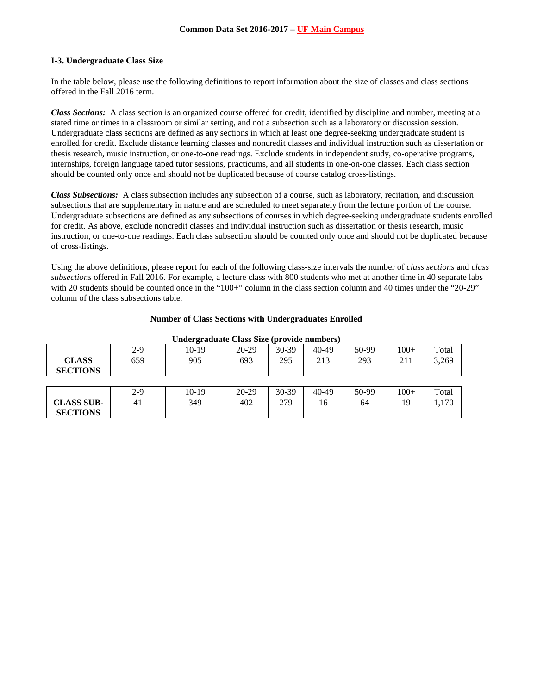## **I-3. Undergraduate Class Size**

In the table below, please use the following definitions to report information about the size of classes and class sections offered in the Fall 2016 term.

*Class Sections:* A class section is an organized course offered for credit, identified by discipline and number, meeting at a stated time or times in a classroom or similar setting, and not a subsection such as a laboratory or discussion session. Undergraduate class sections are defined as any sections in which at least one degree-seeking undergraduate student is enrolled for credit. Exclude distance learning classes and noncredit classes and individual instruction such as dissertation or thesis research, music instruction, or one-to-one readings. Exclude students in independent study, co-operative programs, internships, foreign language taped tutor sessions, practicums, and all students in one-on-one classes. Each class section should be counted only once and should not be duplicated because of course catalog cross-listings.

*Class Subsections:* A class subsection includes any subsection of a course, such as laboratory, recitation, and discussion subsections that are supplementary in nature and are scheduled to meet separately from the lecture portion of the course. Undergraduate subsections are defined as any subsections of courses in which degree-seeking undergraduate students enrolled for credit. As above, exclude noncredit classes and individual instruction such as dissertation or thesis research, music instruction, or one-to-one readings. Each class subsection should be counted only once and should not be duplicated because of cross-listings.

Using the above definitions, please report for each of the following class-size intervals the number of *class sections* and *class subsections* offered in Fall 2016. For example, a lecture class with 800 students who met at another time in 40 separate labs with 20 students should be counted once in the "100+" column in the class section column and 40 times under the "20-29" column of the class subsections table.

| <b>Number of Class Sections with Undergraduates Enrolled</b> |  |
|--------------------------------------------------------------|--|
|--------------------------------------------------------------|--|

|                                 | $2-9$ | -<br>10-19 | 20-29 | 30-39 | 40-49 | 50-99 | $100+$ | Total |
|---------------------------------|-------|------------|-------|-------|-------|-------|--------|-------|
| <b>CLASS</b><br><b>SECTIONS</b> | 659   | 905        | 693   | 295   | 213   | 293   | 211    | 3,269 |
|                                 |       |            |       |       |       |       |        |       |
|                                 | $2-9$ | $10-19$    | 20-29 | 30-39 | 40-49 | 50-99 | $100+$ | Total |
| <b>CLASS SUB-</b>               | 41    | 349        | 402   | 279   | 16    | 64    | 19     | 1,170 |
| <b>SECTIONS</b>                 |       |            |       |       |       |       |        |       |

#### **Undergraduate Class Size (provide numbers)**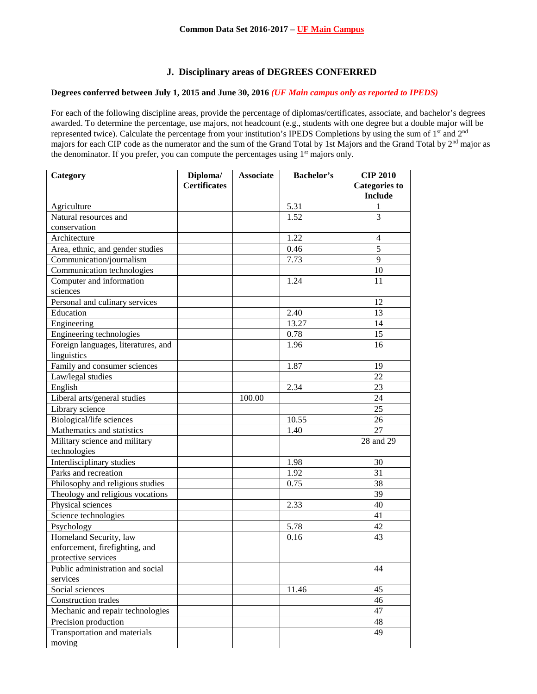# **J. Disciplinary areas of DEGREES CONFERRED**

#### **Degrees conferred between July 1, 2015 and June 30, 2016** *(UF Main campus only as reported to IPEDS)*

For each of the following discipline areas, provide the percentage of diplomas/certificates, associate, and bachelor's degrees awarded. To determine the percentage, use majors, not headcount (e.g., students with one degree but a double major will be represented twice). Calculate the percentage from your institution's IPEDS Completions by using the sum of 1<sup>st</sup> and 2<sup>nd</sup> majors for each CIP code as the numerator and the sum of the Grand Total by 1st Majors and the Grand Total by 2nd major as the denominator. If you prefer, you can compute the percentages using 1<sup>st</sup> majors only.

| Category                            | Diploma/            | <b>Associate</b> | <b>Bachelor's</b> | <b>CIP 2010</b>      |
|-------------------------------------|---------------------|------------------|-------------------|----------------------|
|                                     | <b>Certificates</b> |                  |                   | <b>Categories</b> to |
|                                     |                     |                  |                   | <b>Include</b>       |
| Agriculture                         |                     |                  | 5.31              | 1                    |
| Natural resources and               |                     |                  | 1.52              | 3                    |
| conservation                        |                     |                  |                   |                      |
| Architecture                        |                     |                  | 1.22              | $\overline{4}$       |
| Area, ethnic, and gender studies    |                     |                  | 0.46              | $\overline{5}$       |
| Communication/journalism            |                     |                  | 7.73              | 9                    |
| Communication technologies          |                     |                  |                   | 10                   |
| Computer and information            |                     |                  | 1.24              | 11                   |
| sciences                            |                     |                  |                   |                      |
| Personal and culinary services      |                     |                  |                   | 12                   |
| Education                           |                     |                  | 2.40              | 13                   |
| Engineering                         |                     |                  | 13.27             | 14                   |
| Engineering technologies            |                     |                  | 0.78              | 15                   |
| Foreign languages, literatures, and |                     |                  | 1.96              | 16                   |
| linguistics                         |                     |                  |                   |                      |
| Family and consumer sciences        |                     |                  | 1.87              | 19                   |
| Law/legal studies                   |                     |                  |                   | 22                   |
| English                             |                     |                  | 2.34              | 23                   |
| Liberal arts/general studies        |                     | 100.00           |                   | 24                   |
| Library science                     |                     |                  |                   | 25                   |
| Biological/life sciences            |                     |                  | 10.55             | 26                   |
| Mathematics and statistics          |                     |                  | 1.40              | 27                   |
| Military science and military       |                     |                  |                   | 28 and 29            |
| technologies                        |                     |                  |                   |                      |
| Interdisciplinary studies           |                     |                  | 1.98              | 30                   |
| Parks and recreation                |                     |                  | 1.92              | 31                   |
| Philosophy and religious studies    |                     |                  | 0.75              | 38                   |
| Theology and religious vocations    |                     |                  |                   | 39                   |
| Physical sciences                   |                     |                  | 2.33              | 40                   |
| Science technologies                |                     |                  |                   | 41                   |
| Psychology                          |                     |                  | 5.78              | 42                   |
| Homeland Security, law              |                     |                  | 0.16              | 43                   |
| enforcement, firefighting, and      |                     |                  |                   |                      |
| protective services                 |                     |                  |                   |                      |
| Public administration and social    |                     |                  |                   | 44                   |
| services                            |                     |                  |                   |                      |
| Social sciences                     |                     |                  | 11.46             | 45                   |
| Construction trades                 |                     |                  |                   | 46                   |
| Mechanic and repair technologies    |                     |                  |                   | 47                   |
| Precision production                |                     |                  |                   | 48                   |
| Transportation and materials        |                     |                  |                   | 49                   |
| moving                              |                     |                  |                   |                      |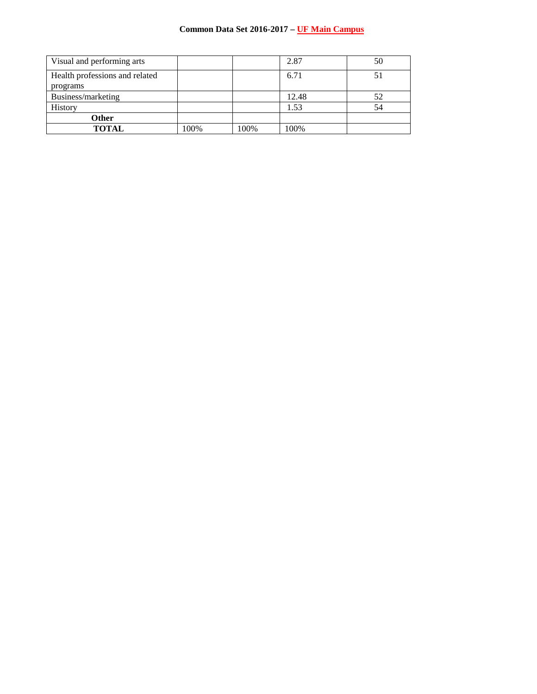| Visual and performing arts     |      |      | 2.87  | 50 |
|--------------------------------|------|------|-------|----|
| Health professions and related |      |      | 6.71  | 51 |
| programs                       |      |      |       |    |
| Business/marketing             |      |      | 12.48 | 52 |
| History                        |      |      | 1.53  | 54 |
| Other                          |      |      |       |    |
| <b>TOTAL</b>                   | 100% | 100% | 100%  |    |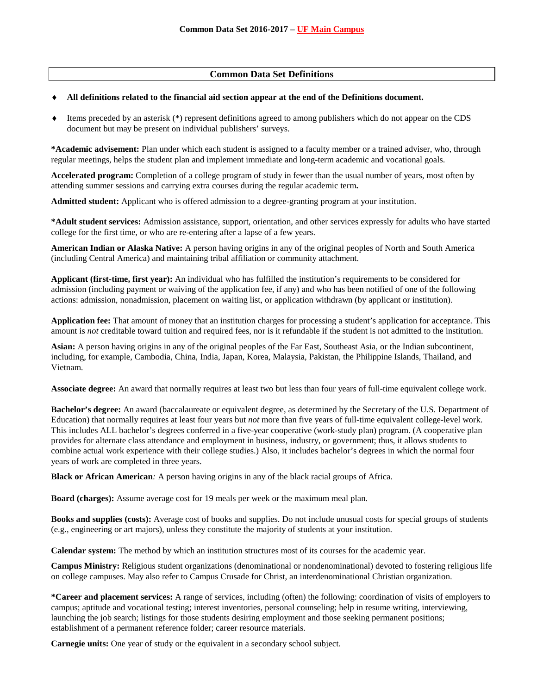## **Common Data Set Definitions**

#### ♦ **All definitions related to the financial aid section appear at the end of the Definitions document.**

 $\bullet$  Items preceded by an asterisk  $(*)$  represent definitions agreed to among publishers which do not appear on the CDS document but may be present on individual publishers' surveys.

**\*Academic advisement:** Plan under which each student is assigned to a faculty member or a trained adviser, who, through regular meetings, helps the student plan and implement immediate and long-term academic and vocational goals.

**Accelerated program:** Completion of a college program of study in fewer than the usual number of years, most often by attending summer sessions and carrying extra courses during the regular academic term**.**

**Admitted student:** Applicant who is offered admission to a degree-granting program at your institution.

**\*Adult student services:** Admission assistance, support, orientation, and other services expressly for adults who have started college for the first time, or who are re-entering after a lapse of a few years.

**American Indian or Alaska Native:** A person having origins in any of the original peoples of North and South America (including Central America) and maintaining tribal affiliation or community attachment.

**Applicant (first-time, first year):** An individual who has fulfilled the institution's requirements to be considered for admission (including payment or waiving of the application fee, if any) and who has been notified of one of the following actions: admission, nonadmission, placement on waiting list, or application withdrawn (by applicant or institution).

**Application fee:** That amount of money that an institution charges for processing a student's application for acceptance. This amount is *not* creditable toward tuition and required fees, nor is it refundable if the student is not admitted to the institution.

**Asian:** A person having origins in any of the original peoples of the Far East, Southeast Asia, or the Indian subcontinent, including, for example, Cambodia, China, India, Japan, Korea, Malaysia, Pakistan, the Philippine Islands, Thailand, and Vietnam.

**Associate degree:** An award that normally requires at least two but less than four years of full-time equivalent college work.

**Bachelor's degree:** An award (baccalaureate or equivalent degree, as determined by the Secretary of the U.S. Department of Education) that normally requires at least four years but *not* more than five years of full-time equivalent college-level work. This includes ALL bachelor's degrees conferred in a five-year cooperative (work-study plan) program. (A cooperative plan provides for alternate class attendance and employment in business, industry, or government; thus, it allows students to combine actual work experience with their college studies.) Also, it includes bachelor's degrees in which the normal four years of work are completed in three years.

**Black or African American***:* A person having origins in any of the black racial groups of Africa.

**Board (charges):** Assume average cost for 19 meals per week or the maximum meal plan.

**Books and supplies (costs):** Average cost of books and supplies. Do not include unusual costs for special groups of students (e.g., engineering or art majors), unless they constitute the majority of students at your institution.

**Calendar system:** The method by which an institution structures most of its courses for the academic year.

**Campus Ministry:** Religious student organizations (denominational or nondenominational) devoted to fostering religious life on college campuses. May also refer to Campus Crusade for Christ, an interdenominational Christian organization.

**\*Career and placement services:** A range of services, including (often) the following: coordination of visits of employers to campus; aptitude and vocational testing; interest inventories, personal counseling; help in resume writing, interviewing, launching the job search; listings for those students desiring employment and those seeking permanent positions; establishment of a permanent reference folder; career resource materials.

**Carnegie units:** One year of study or the equivalent in a secondary school subject.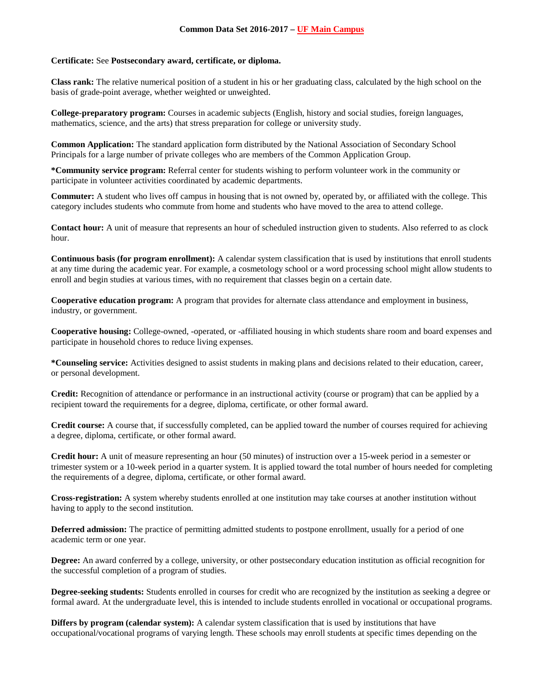#### **Certificate:** See **Postsecondary award, certificate, or diploma.**

**Class rank:** The relative numerical position of a student in his or her graduating class, calculated by the high school on the basis of grade-point average, whether weighted or unweighted.

**College-preparatory program:** Courses in academic subjects (English, history and social studies, foreign languages, mathematics, science, and the arts) that stress preparation for college or university study.

**Common Application:** The standard application form distributed by the National Association of Secondary School Principals for a large number of private colleges who are members of the Common Application Group.

**\*Community service program:** Referral center for students wishing to perform volunteer work in the community or participate in volunteer activities coordinated by academic departments.

**Commuter:** A student who lives off campus in housing that is not owned by, operated by, or affiliated with the college. This category includes students who commute from home and students who have moved to the area to attend college.

**Contact hour:** A unit of measure that represents an hour of scheduled instruction given to students. Also referred to as clock hour.

**Continuous basis (for program enrollment):** A calendar system classification that is used by institutions that enroll students at any time during the academic year. For example, a cosmetology school or a word processing school might allow students to enroll and begin studies at various times, with no requirement that classes begin on a certain date.

**Cooperative education program:** A program that provides for alternate class attendance and employment in business, industry, or government.

**Cooperative housing:** College-owned, -operated, or -affiliated housing in which students share room and board expenses and participate in household chores to reduce living expenses.

**\*Counseling service:** Activities designed to assist students in making plans and decisions related to their education, career, or personal development.

**Credit:** Recognition of attendance or performance in an instructional activity (course or program) that can be applied by a recipient toward the requirements for a degree, diploma, certificate, or other formal award.

**Credit course:** A course that, if successfully completed, can be applied toward the number of courses required for achieving a degree, diploma, certificate, or other formal award.

**Credit hour:** A unit of measure representing an hour (50 minutes) of instruction over a 15-week period in a semester or trimester system or a 10-week period in a quarter system. It is applied toward the total number of hours needed for completing the requirements of a degree, diploma, certificate, or other formal award.

**Cross-registration:** A system whereby students enrolled at one institution may take courses at another institution without having to apply to the second institution.

**Deferred admission:** The practice of permitting admitted students to postpone enrollment, usually for a period of one academic term or one year.

**Degree:** An award conferred by a college, university, or other postsecondary education institution as official recognition for the successful completion of a program of studies.

**Degree-seeking students:** Students enrolled in courses for credit who are recognized by the institution as seeking a degree or formal award. At the undergraduate level, this is intended to include students enrolled in vocational or occupational programs.

**Differs by program (calendar system):** A calendar system classification that is used by institutions that have occupational/vocational programs of varying length. These schools may enroll students at specific times depending on the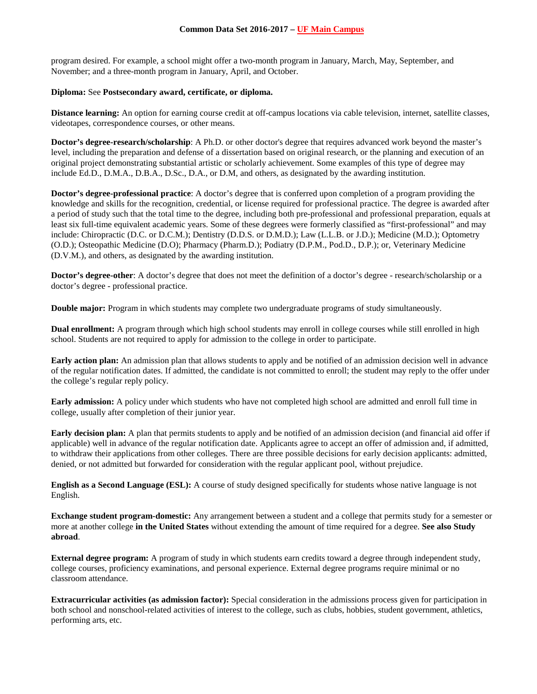program desired. For example, a school might offer a two-month program in January, March, May, September, and November; and a three-month program in January, April, and October.

#### **Diploma:** See **Postsecondary award, certificate, or diploma.**

**Distance learning:** An option for earning course credit at off-campus locations via cable television, internet, satellite classes, videotapes, correspondence courses, or other means.

**Doctor's degree-research/scholarship**: A Ph.D. or other doctor's degree that requires advanced work beyond the master's level, including the preparation and defense of a dissertation based on original research, or the planning and execution of an original project demonstrating substantial artistic or scholarly achievement. Some examples of this type of degree may include Ed.D., D.M.A., D.B.A., D.Sc., D.A., or D.M, and others, as designated by the awarding institution.

**Doctor's degree-professional practice**: A doctor's degree that is conferred upon completion of a program providing the knowledge and skills for the recognition, credential, or license required for professional practice. The degree is awarded after a period of study such that the total time to the degree, including both pre-professional and professional preparation, equals at least six full-time equivalent academic years. Some of these degrees were formerly classified as "first-professional" and may include: Chiropractic (D.C. or D.C.M.); Dentistry (D.D.S. or D.M.D.); Law (L.L.B. or J.D.); Medicine (M.D.); Optometry (O.D.); Osteopathic Medicine (D.O); Pharmacy (Pharm.D.); Podiatry (D.P.M., Pod.D., D.P.); or, Veterinary Medicine (D.V.M.), and others, as designated by the awarding institution.

**Doctor's degree-other**: A doctor's degree that does not meet the definition of a doctor's degree - research/scholarship or a doctor's degree - professional practice.

**Double major:** Program in which students may complete two undergraduate programs of study simultaneously.

**Dual enrollment:** A program through which high school students may enroll in college courses while still enrolled in high school. Students are not required to apply for admission to the college in order to participate.

**Early action plan:** An admission plan that allows students to apply and be notified of an admission decision well in advance of the regular notification dates. If admitted, the candidate is not committed to enroll; the student may reply to the offer under the college's regular reply policy.

**Early admission:** A policy under which students who have not completed high school are admitted and enroll full time in college, usually after completion of their junior year.

**Early decision plan:** A plan that permits students to apply and be notified of an admission decision (and financial aid offer if applicable) well in advance of the regular notification date. Applicants agree to accept an offer of admission and, if admitted, to withdraw their applications from other colleges. There are three possible decisions for early decision applicants: admitted, denied, or not admitted but forwarded for consideration with the regular applicant pool, without prejudice.

**English as a Second Language (ESL):** A course of study designed specifically for students whose native language is not English.

**Exchange student program-domestic:** Any arrangement between a student and a college that permits study for a semester or more at another college **in the United States** without extending the amount of time required for a degree. **See also Study abroad**.

**External degree program:** A program of study in which students earn credits toward a degree through independent study, college courses, proficiency examinations, and personal experience. External degree programs require minimal or no classroom attendance.

**Extracurricular activities (as admission factor):** Special consideration in the admissions process given for participation in both school and nonschool-related activities of interest to the college, such as clubs, hobbies, student government, athletics, performing arts, etc.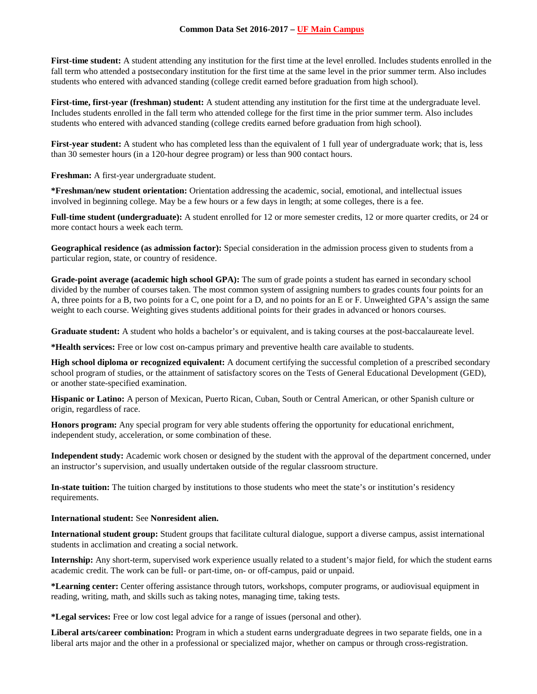**First-time student:** A student attending any institution for the first time at the level enrolled. Includes students enrolled in the fall term who attended a postsecondary institution for the first time at the same level in the prior summer term. Also includes students who entered with advanced standing (college credit earned before graduation from high school).

**First-time, first-year (freshman) student:** A student attending any institution for the first time at the undergraduate level. Includes students enrolled in the fall term who attended college for the first time in the prior summer term. Also includes students who entered with advanced standing (college credits earned before graduation from high school).

First-year student: A student who has completed less than the equivalent of 1 full year of undergraduate work; that is, less than 30 semester hours (in a 120-hour degree program) or less than 900 contact hours.

**Freshman:** A first-year undergraduate student.

**\*Freshman/new student orientation:** Orientation addressing the academic, social, emotional, and intellectual issues involved in beginning college. May be a few hours or a few days in length; at some colleges, there is a fee.

**Full-time student (undergraduate):** A student enrolled for 12 or more semester credits, 12 or more quarter credits, or 24 or more contact hours a week each term.

**Geographical residence (as admission factor):** Special consideration in the admission process given to students from a particular region, state, or country of residence.

**Grade-point average (academic high school GPA):** The sum of grade points a student has earned in secondary school divided by the number of courses taken. The most common system of assigning numbers to grades counts four points for an A, three points for a B, two points for a C, one point for a D, and no points for an E or F. Unweighted GPA's assign the same weight to each course. Weighting gives students additional points for their grades in advanced or honors courses.

**Graduate student:** A student who holds a bachelor's or equivalent, and is taking courses at the post-baccalaureate level.

**\*Health services:** Free or low cost on-campus primary and preventive health care available to students.

**High school diploma or recognized equivalent:** A document certifying the successful completion of a prescribed secondary school program of studies, or the attainment of satisfactory scores on the Tests of General Educational Development (GED), or another state-specified examination.

**Hispanic or Latino:** A person of Mexican, Puerto Rican, Cuban, South or Central American, or other Spanish culture or origin, regardless of race.

**Honors program:** Any special program for very able students offering the opportunity for educational enrichment, independent study, acceleration, or some combination of these.

**Independent study:** Academic work chosen or designed by the student with the approval of the department concerned, under an instructor's supervision, and usually undertaken outside of the regular classroom structure.

**In-state tuition:** The tuition charged by institutions to those students who meet the state's or institution's residency requirements.

#### **International student:** See **Nonresident alien.**

**International student group:** Student groups that facilitate cultural dialogue, support a diverse campus, assist international students in acclimation and creating a social network.

**Internship:** Any short-term, supervised work experience usually related to a student's major field, for which the student earns academic credit. The work can be full- or part-time, on- or off-campus, paid or unpaid.

**\*Learning center:** Center offering assistance through tutors, workshops, computer programs, or audiovisual equipment in reading, writing, math, and skills such as taking notes, managing time, taking tests.

**\*Legal services:** Free or low cost legal advice for a range of issues (personal and other).

**Liberal arts/career combination:** Program in which a student earns undergraduate degrees in two separate fields, one in a liberal arts major and the other in a professional or specialized major, whether on campus or through cross-registration.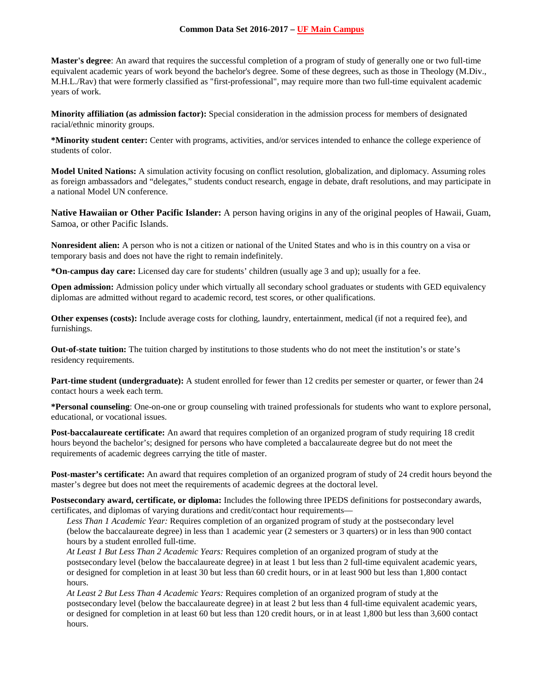**Master's degree**: An award that requires the successful completion of a program of study of generally one or two full-time equivalent academic years of work beyond the bachelor's degree. Some of these degrees, such as those in Theology (M.Div., M.H.L./Rav) that were formerly classified as "first-professional", may require more than two full-time equivalent academic years of work.

**Minority affiliation (as admission factor):** Special consideration in the admission process for members of designated racial/ethnic minority groups.

**\*Minority student center:** Center with programs, activities, and/or services intended to enhance the college experience of students of color.

**Model United Nations:** A simulation activity focusing on conflict resolution, globalization, and diplomacy. Assuming roles as foreign ambassadors and "delegates," students conduct research, engage in debate, draft resolutions, and may participate in a national Model UN conference.

**Native Hawaiian or Other Pacific Islander:** A person having origins in any of the original peoples of Hawaii, Guam, Samoa, or other Pacific Islands.

**Nonresident alien:** A person who is not a citizen or national of the United States and who is in this country on a visa or temporary basis and does not have the right to remain indefinitely.

**\*On-campus day care:** Licensed day care for students' children (usually age 3 and up); usually for a fee.

**Open admission:** Admission policy under which virtually all secondary school graduates or students with GED equivalency diplomas are admitted without regard to academic record, test scores, or other qualifications.

**Other expenses (costs):** Include average costs for clothing, laundry, entertainment, medical (if not a required fee), and furnishings.

**Out-of-state tuition:** The tuition charged by institutions to those students who do not meet the institution's or state's residency requirements.

**Part-time student (undergraduate):** A student enrolled for fewer than 12 credits per semester or quarter, or fewer than 24 contact hours a week each term.

**\*Personal counseling**: One-on-one or group counseling with trained professionals for students who want to explore personal, educational, or vocational issues.

**Post-baccalaureate certificate:** An award that requires completion of an organized program of study requiring 18 credit hours beyond the bachelor's; designed for persons who have completed a baccalaureate degree but do not meet the requirements of academic degrees carrying the title of master.

**Post-master's certificate:** An award that requires completion of an organized program of study of 24 credit hours beyond the master's degree but does not meet the requirements of academic degrees at the doctoral level.

**Postsecondary award, certificate, or diploma:** Includes the following three IPEDS definitions for postsecondary awards, certificates, and diplomas of varying durations and credit/contact hour requirements—

*Less Than 1 Academic Year:* Requires completion of an organized program of study at the postsecondary level (below the baccalaureate degree) in less than 1 academic year (2 semesters or 3 quarters) or in less than 900 contact hours by a student enrolled full-time.

*At Least 1 But Less Than 2 Academic Years:* Requires completion of an organized program of study at the postsecondary level (below the baccalaureate degree) in at least 1 but less than 2 full-time equivalent academic years, or designed for completion in at least 30 but less than 60 credit hours, or in at least 900 but less than 1,800 contact hours.

*At Least 2 But Less Than 4 Academic Years:* Requires completion of an organized program of study at the postsecondary level (below the baccalaureate degree) in at least 2 but less than 4 full-time equivalent academic years, or designed for completion in at least 60 but less than 120 credit hours, or in at least 1,800 but less than 3,600 contact hours.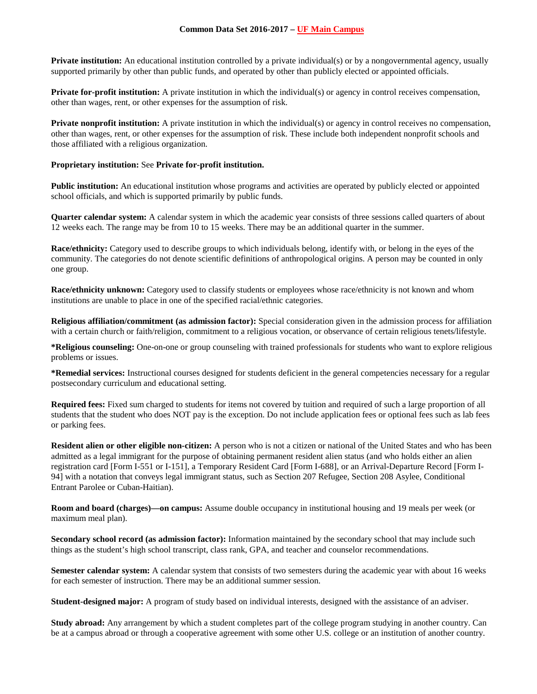**Private institution:** An educational institution controlled by a private individual(s) or by a nongovernmental agency, usually supported primarily by other than public funds, and operated by other than publicly elected or appointed officials.

**Private for-profit institution:** A private institution in which the individual(s) or agency in control receives compensation, other than wages, rent, or other expenses for the assumption of risk.

**Private nonprofit institution:** A private institution in which the individual(s) or agency in control receives no compensation, other than wages, rent, or other expenses for the assumption of risk. These include both independent nonprofit schools and those affiliated with a religious organization.

#### **Proprietary institution:** See **Private for-profit institution.**

**Public institution:** An educational institution whose programs and activities are operated by publicly elected or appointed school officials, and which is supported primarily by public funds.

**Quarter calendar system:** A calendar system in which the academic year consists of three sessions called quarters of about 12 weeks each. The range may be from 10 to 15 weeks. There may be an additional quarter in the summer.

**Race/ethnicity:** Category used to describe groups to which individuals belong, identify with, or belong in the eyes of the community. The categories do not denote scientific definitions of anthropological origins. A person may be counted in only one group.

**Race/ethnicity unknown:** Category used to classify students or employees whose race/ethnicity is not known and whom institutions are unable to place in one of the specified racial/ethnic categories.

**Religious affiliation/commitment (as admission factor):** Special consideration given in the admission process for affiliation with a certain church or faith/religion, commitment to a religious vocation, or observance of certain religious tenets/lifestyle.

**\*Religious counseling:** One-on-one or group counseling with trained professionals for students who want to explore religious problems or issues.

**\*Remedial services:** Instructional courses designed for students deficient in the general competencies necessary for a regular postsecondary curriculum and educational setting.

**Required fees:** Fixed sum charged to students for items not covered by tuition and required of such a large proportion of all students that the student who does NOT pay is the exception. Do not include application fees or optional fees such as lab fees or parking fees.

**Resident alien or other eligible non-citizen:** A person who is not a citizen or national of the United States and who has been admitted as a legal immigrant for the purpose of obtaining permanent resident alien status (and who holds either an alien registration card [Form I-551 or I-151], a Temporary Resident Card [Form I-688], or an Arrival-Departure Record [Form I-94] with a notation that conveys legal immigrant status, such as Section 207 Refugee, Section 208 Asylee, Conditional Entrant Parolee or Cuban-Haitian).

**Room and board (charges)—on campus:** Assume double occupancy in institutional housing and 19 meals per week (or maximum meal plan).

**Secondary school record (as admission factor):** Information maintained by the secondary school that may include such things as the student's high school transcript, class rank, GPA, and teacher and counselor recommendations.

**Semester calendar system:** A calendar system that consists of two semesters during the academic year with about 16 weeks for each semester of instruction. There may be an additional summer session.

**Student-designed major:** A program of study based on individual interests, designed with the assistance of an adviser.

**Study abroad:** Any arrangement by which a student completes part of the college program studying in another country. Can be at a campus abroad or through a cooperative agreement with some other U.S. college or an institution of another country.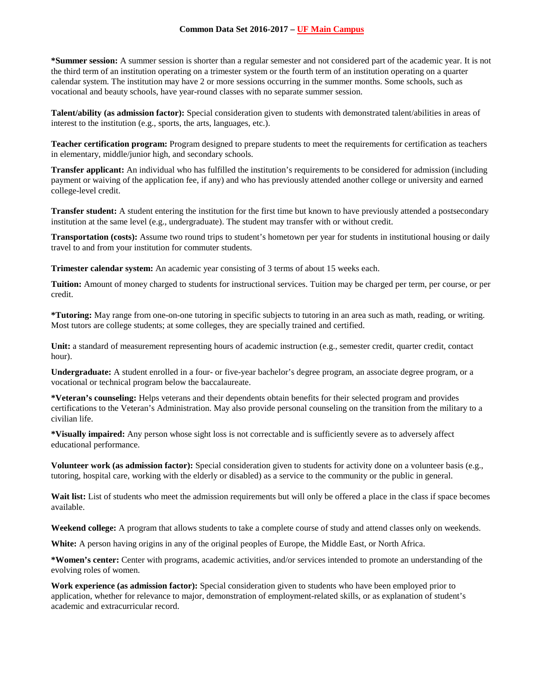**\*Summer session:** A summer session is shorter than a regular semester and not considered part of the academic year. It is not the third term of an institution operating on a trimester system or the fourth term of an institution operating on a quarter calendar system. The institution may have 2 or more sessions occurring in the summer months. Some schools, such as vocational and beauty schools, have year-round classes with no separate summer session.

**Talent/ability (as admission factor):** Special consideration given to students with demonstrated talent/abilities in areas of interest to the institution (e.g., sports, the arts, languages, etc.).

**Teacher certification program:** Program designed to prepare students to meet the requirements for certification as teachers in elementary, middle/junior high, and secondary schools.

**Transfer applicant:** An individual who has fulfilled the institution's requirements to be considered for admission (including payment or waiving of the application fee, if any) and who has previously attended another college or university and earned college-level credit.

**Transfer student:** A student entering the institution for the first time but known to have previously attended a postsecondary institution at the same level (e.g., undergraduate). The student may transfer with or without credit.

**Transportation (costs):** Assume two round trips to student's hometown per year for students in institutional housing or daily travel to and from your institution for commuter students.

**Trimester calendar system:** An academic year consisting of 3 terms of about 15 weeks each.

**Tuition:** Amount of money charged to students for instructional services. Tuition may be charged per term, per course, or per credit.

**\*Tutoring:** May range from one-on-one tutoring in specific subjects to tutoring in an area such as math, reading, or writing. Most tutors are college students; at some colleges, they are specially trained and certified.

Unit: a standard of measurement representing hours of academic instruction (e.g., semester credit, quarter credit, contact hour).

**Undergraduate:** A student enrolled in a four- or five-year bachelor's degree program, an associate degree program, or a vocational or technical program below the baccalaureate.

**\*Veteran's counseling:** Helps veterans and their dependents obtain benefits for their selected program and provides certifications to the Veteran's Administration. May also provide personal counseling on the transition from the military to a civilian life.

**\*Visually impaired:** Any person whose sight loss is not correctable and is sufficiently severe as to adversely affect educational performance.

**Volunteer work (as admission factor):** Special consideration given to students for activity done on a volunteer basis (e.g., tutoring, hospital care, working with the elderly or disabled) as a service to the community or the public in general.

Wait list: List of students who meet the admission requirements but will only be offered a place in the class if space becomes available.

**Weekend college:** A program that allows students to take a complete course of study and attend classes only on weekends.

**White:** A person having origins in any of the original peoples of Europe, the Middle East, or North Africa.

**\*Women's center:** Center with programs, academic activities, and/or services intended to promote an understanding of the evolving roles of women.

**Work experience (as admission factor):** Special consideration given to students who have been employed prior to application, whether for relevance to major, demonstration of employment-related skills, or as explanation of student's academic and extracurricular record.